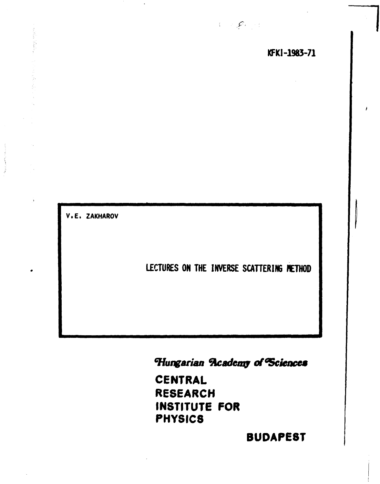*f.* 

**V.E. ZAKHAROV** 

Report of the Contract

**LECTURES ON THE INVERSE SCATTERING METHOD** 

*Hungarian ftcadcwp of<sup>G</sup> ScienceB* 

**CENTRAL RESEARCH INSTITUTE FOR PHYSICS** 

**BUDAPEST**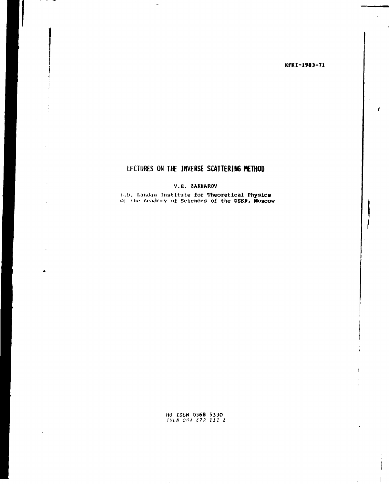## KFKI-1983-71

J

# LECTURES ON THE INVERSE SCATTERING METHOD

 $\cdot$ 

 $\ddot{\phantom{a}}$ 

 $\sim$ 

## V.E. ZAKHAROV

L.D. Landau Institute for Theoretical Physics<br>of the Academy of Sciences of the USSR, Moscow

HU ISSN 0368 5330<br>ISBN 963 372 111 3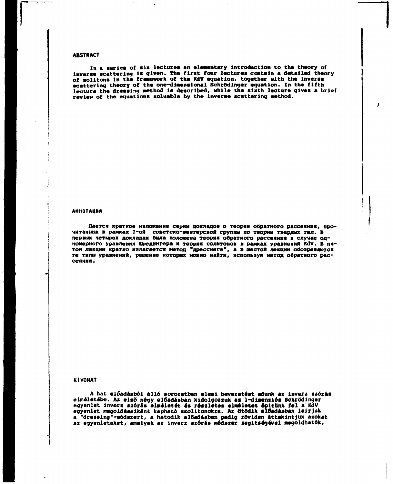#### **ABSTRACT**

**In a series of six lectures an elementary introduction to the theory of inverse scattering is given. The first four lectures contain a detailed theory of solitons in the framework of the KdV equation, together with the inverse scattering theory of the one-dimensional SehrOdinger equation. In the fifth lecture the dressing method is described, while the sixth lecture gives a brief review of the equations soluable by the inverse scattering method.** 

#### **АННОТАЦИЯ**

Дается краткое изложение серии докладов о теории обратного рассеяния, прочитанных в рамках I-ой советско-венгерской группы по теории твердых тел. В первых четырех докладах была изложена теория обратиого рассеяния в случае одномерного уравления Шредингера и теория солитонов в рамках уравиений KdV. В пятой лекции кратко излагается метод "дрессинга", а в шестой лекции обозреваются типы уравнений, решение которых можно найти, используя метод обратного рас**сеяни .** 

## **KIVONAT**

**A hat előadásból álló sorozatban elemi bevezetést adunk az inverz szórás elméletébe. Az els6 négy előadásban kidolgozzuk az 1-dimenziós Schrödinger egyenlet inverz szórás elméletét és részletes elméletet építünk fel a KdV egyenlet megoldásaiként kapható szolitonokra. Az Öt0dlk előadásban leírjuk a "dressing"-módszert, a hatodik előadásban pedig röviden áttekintjük azokat az egyenleteket, amelyek az inverz szórás módszer segítségével megoldhatók.**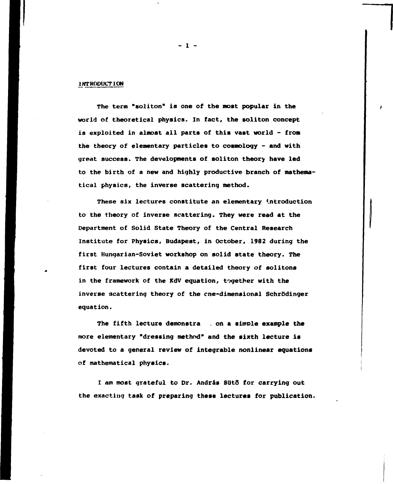## **INTRODUCTION**

**The term "soliton" is one of the most popular in the world of theoretical physics. In fact, the soliton concept is exploited in almost all parts of this vast world - fron the theory of elementary particles to cosmology - and with great success. The developments of soliton theory have led to the birth of a new and highly productive branch of mathematical physics, the inverse scattering method.** 

**These six lectures constitute an elementary Introduction to the theory of inverse scattering. They were read at the Department of Solid State Theory of the Central Research Institute for Physics, Budapest, in October, 1982 during the first Hungarian-Soviet workshop on solid state theory. The first four lectures contain a detailed theory of solitons in the framework of the KdV equation, together with the inverse scattering theory of the cne-dimensional Schrödinger equation.** 

**The fifth lecture demonstra . on a simple example the more elementary "dressing method" and the sixth lecture is devoted to a general review of integrable nonlinear equations of mathematical physics.** 

I am most grateful to Dr. András Sütő for carrying out **the exacting task of preparing these lectures for publication.** 

**- 1 -**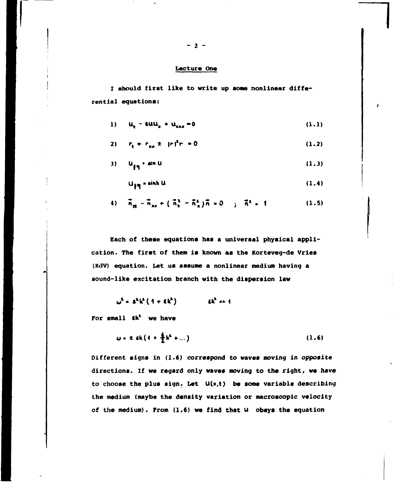## **Lecture One**

**I should first like to write up some nonlinear differential equations:** 

1) 
$$
u_t - 6uu_x + u_{\text{max}} = 0
$$
 (1.1)

2) 
$$
r_{\rm e} + r_{\rm m} \pm |r|^2 r = 0
$$
 (1.2)

$$
3) \qquad u_{\text{f}\eta} \qquad \text{sin } U \tag{1.3}
$$

$$
U_{\beta\eta} = \sinh U \tag{1.4}
$$

4) 
$$
\vec{n}_{tt} = \vec{n}_{xx} + (\vec{n}_{t}^{2} - \vec{n}_{x}^{2})\vec{n} = 0
$$
;  $\vec{n}^{2} = 1$  (1.5)

**Each of these equations has a universal physical application. The first of them is known as the Korteveg-de Vries (KdV) equation. Let us assume a nonlinear medium having a sound-like excitation branch with the dispersion law** 

$$
\omega^2 = S^2 k^2 (1 + \epsilon k^2) \qquad \text{at}^2 \text{ or } 1
$$

**For small Ck\* we have** 

$$
\omega = 2.6k(4 + \frac{6}{2}k^2 + ...)
$$
 (1.6)

**Different signs in (1.6) correspond to waves moving in opposite directions. If we regard only waves moving to the right, we have to choose the plus sign. Let U(\*,t) be some variable describing the medium (maybe the density variation or macroscopic velocity of the medium). From (1.6) we find that U obeys the equation**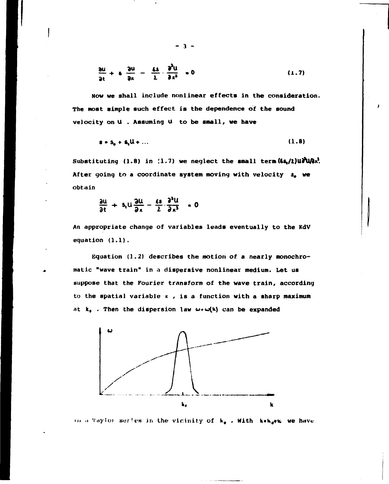$$
\frac{\partial u}{\partial t} + \epsilon \frac{\partial u}{\partial u} - \frac{\epsilon s}{\lambda} \cdot \frac{\partial^2 u}{\partial x^3} = 0
$$
 (1.7)

Now we shall include nonlinear effects in the consideration. The most simple such effect is the dependence of the sound velocity on U . Assuming U to be small, we have

$$
\mathbf{s} \cdot \mathbf{s}_{\mathbf{a}} + \mathbf{s}_{\mathbf{a}} \mathbf{u} + \dots \tag{1.8}
$$

Substituting (1.8) in (1.7) we neglect the small term  $(6s_1/2)u\partial^2 u/3x^2$ . After going to a coordinate system moving with velocity s, we obtain

$$
\frac{\partial u}{\partial t} + s_1 u \frac{\partial u}{\partial x} - \frac{\epsilon s}{2} \frac{\partial^3 u}{\partial x^3} = 0
$$

An appropriate change of variables leads eventually to the KdV equation  $(1.1)$ .

Equation  $(1.2)$  describes the motion of a nearly monochromatic "wave train" in a dispersive nonlinear medium. Let us suppose that the Fourier transform of the wave train, according to the spatial variable  $x$ , is a function with a sharp maximum at  $k_0$ . Then the dispersion law  $\omega \cdot \omega(k)$  can be expanded



in a Taylor series in the vicinity of k. With kak.we we have

 $\mathbf{3}$  –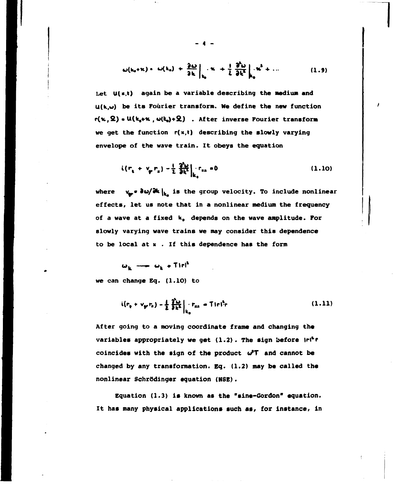$$
\omega(k_0 + k) = \omega(k_0) + \frac{\partial \omega}{\partial k}\Big|_{k_0} = k_0 + \frac{1}{L} \frac{\partial^2 \omega}{\partial k^2}\Big|_{k_0} = k_0^2 + \dots \tag{1.9}
$$

Let U(x,t) again be a variable describing the medium and **U(k,w) be its Fourier transform. We define the new function c(n,ft) • U(k,+ic , w(k,)+2.) . After inverse Pourier transform we get the function r(x,t) describing the slowly varying envelope of the wave train. It obeys the equation** 

$$
i(r_{\rm t} + v_{\rm p} r_{\rm r}) - \frac{1}{2} \left. \frac{\partial u_{\rm t}}{\partial t^2} \right|_{k_{\rm s}} r_{\rm r, \rm r} = 0 \tag{1.10}
$$

where  $v_{\text{av}} \cdot \partial \omega / \partial k \vert_{k_{\text{av}}}$  is the group velocity. To include nonlinear **effects, let us note that in a nonlinear medium the frequency of a wave at a fixed ka depends on the wave amplitude. For slowly varying wave trains we may consider this dependence to be local at к . If this dependence has the form** 

$$
\omega_{k} \longrightarrow \omega_{k} + \text{Tirl}^{k}
$$

**we can change Bq. (1.10) to** 

$$
i(r_{e} + v_{gr}r_{n}) - \frac{1}{2} \frac{\partial^{2} \omega}{\partial k^{2}} \Big|_{k_{0}} \cdot r_{nn} = T! r l^{2} r
$$
 (1.11)

**After going to a moving coordinate frame and changing the variables appropriately we get (1.2). The sign before lrl\*r**  coincides with the sign of the product  $\omega^T$  and cannot be **changed by any transformation. Eq. (1.2) may be called the nonlinear Schrödinger equation (NSE).** 

**Equation (1.3) is known as the "sine-Gordon" equation. It has many physical applications such as, for instance, in** 

**- 4 -**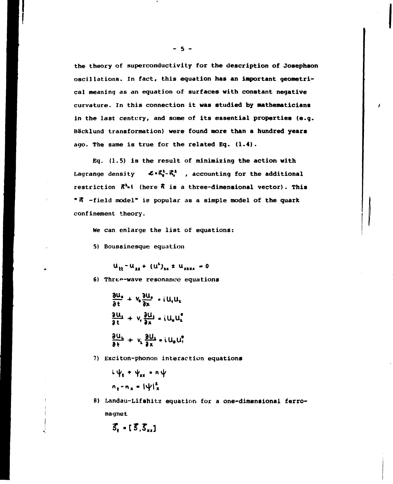the theory of superconductivity for the description of Josephson oscillations. In fact, this equation has an important geometrical meaning as an equation of surfaces with constant negative curvature. In this connection it was studied by mathematicians in the last century, and some of its essential properties (e.g. Bäcklund transformation) were found more than a hundred years ago. The same is true for the related Eq. (1.4).

Eq.  $(1.5)$  is the result of minimizing the action with  $\mathcal{L} \cdot \vec{\kappa}_{t}^{1}$  - $\vec{\kappa}_{s}^{1}$ , accounting for the additional Lagrange density restriction  $\bar{n}^{1}$ -1 (here  $\bar{n}$  is a three-dimensional vector). This "R -field model" is popular as a simple model of the quark confinement theory.

We can enlarge the list of equations:

5) Boussinesque equation

 $u_{11} - u_{12} + (u^2)_{12} + u_{12} = 0$ 

6) Three-wave resonance equations

 $\frac{\partial u_{\bullet}}{\partial t} + v_{\bullet} \frac{\partial u_{\bullet}}{\partial x} - i u_{\bullet} u_{\bullet}$  $\frac{\partial u_1}{\partial t} + v_1 \frac{\partial u_2}{\partial x} - i u_2 u_1^2$  $\frac{\partial U_L}{\partial t} + V_L \frac{\partial U_L}{\partial x} = i U_0 U_t^*$ 

7) Exciton-phonon interaction equations

 $i \psi_{\bullet} + \psi_{xx} = n \psi$  $n_x - n_x = |\psi|_x^2$ 

8) Landau-Lifshitz equation for a one-dimensional ferromagnet

$$
\overline{S}_t - [\overline{S}, \overline{S}_{xx}]
$$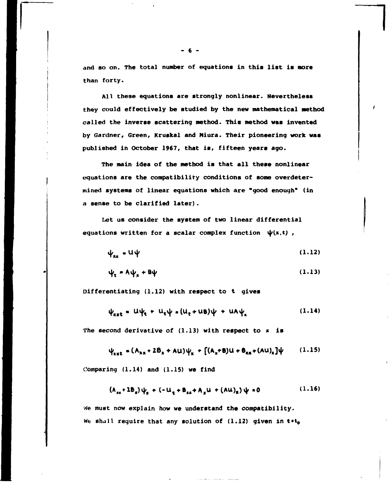**and so on. The total number of equations in this list is more than forty.** 

**All these equations are strongly nonlinear. Nevertheless they could effectively be studied by the new mathematical method called the inverse scattering method. This method was invented by Gardner, Green, Kruskal and Miura. Their pioneering work was published in October 1967, that is, fifteen years ago.** 

**The main idea of the method is that all these nonlinear equations are the compatibility conditions of some overdetermined systems of linear equations which are "good enough" (in a sense to be clarified later).** 

**Let us consider the system of two linear differential**  equations written for a scalar complex function  $\psi(x,t)$ ,

$$
\psi_{xx} = U \psi \tag{1.12}
$$

$$
\psi_t = A \psi_s + B \psi \tag{1.13}
$$

**Differentiating (1.12) with respect to t gives** 

$$
\psi_{\rm{ext}} = U\psi_{\rm{c}} + U_{\rm{c}}\psi = (U_{\rm{c}} + U\theta)\psi + U\theta\psi_{\rm{c}} \qquad (1.14)
$$

**The second derivative of (1.13) with respect to к is** 

$$
\psi_{\text{xxE}} = (A_{\text{xx}} + 2B_{\text{x}} + \text{AU})\psi_{\text{x}} + [(A_{\text{x}} + B)U + B_{\text{xx}} + (\text{AU})_{\text{x}}]\psi \qquad (1.15)
$$

**Comparing (1.14) and (1.15) we find** 

$$
(A_{xx} + 2B_x)\psi_x + (-U_x + B_{xx} + A_xU + (AU)_x)\psi = 0
$$
 (1.16)

**We must now explain how we understand the compatibility.**  We shall require that any solution of (1.12) given in t\*t<sub>o</sub>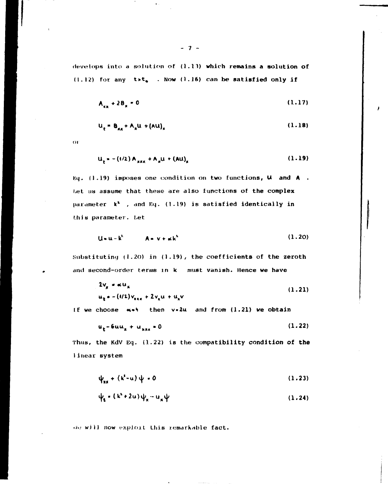**develops into a solution of (1.13) which remains a solution of (1.12) for any t>te . Now (1.16) can be satisfied only if** 

$$
A_{xx} + 2B_x = 0 \tag{1.17}
$$

$$
u_t = B_{xx} + A_x u + (Au)_x
$$
 (1.18)

**or** 

$$
u_{t} = -(t/2) A_{xxx} + A_{x}u + (Au)_{x}
$$
 (1.19)

**Kq. (1.19) imposes one condition on two functions, U and A . Let us assume that these are also functions of the complex**  parameter  $k^2$ , and Eq. (1.19) is satisfied identically in **this parameter, bet** 

$$
U = u - k2 \qquad A = v + \alpha k2 \qquad (1.20)
$$

**Substituting (I.20) in (1.19), the coefficients of the zeroth and second-order terms in k must vanish. Hence we have** 

$$
2v_{x} = \alpha u_{x}
$$
\n
$$
u_{t} = -(4/2)v_{xx} + 2v_{x}u + u_{x}v
$$
\n(1.21)

**If we choose «» then v»2u and from (1.21) we obtain** 

$$
u_t - 6uu_x + u_{xxx} = 0 \tag{1.22}
$$

**Thus, the KdV Eq. (1.22) is the compatibility condition of the 1inear system** 

$$
\psi_{xx} + (k^2 - u) \psi = 0 \tag{1.23}
$$

$$
\psi_{\mathbf{c}} * (\mathbf{k}^2 + 2\mathbf{u}) \psi_{\mathbf{x}} - \mathbf{u}_{\mathbf{x}} \psi
$$
 (1.24)

*tin* **will now exploit this remarkable fact.**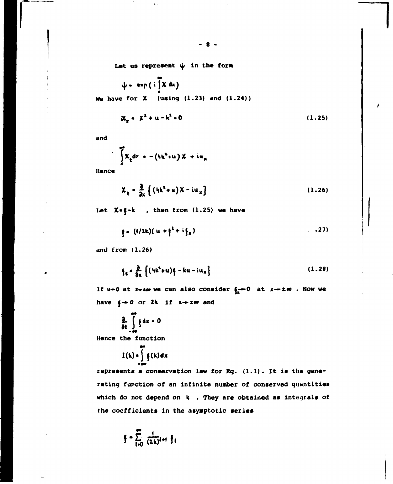Let us represent  $\psi$  in the form

 $\psi$  = exp (i  $\int x dx$ ) We have for  $\lambda$  (using (1.23) and (1.24))

$$
x^{2} + x^{2} + u - k^{2} = 0
$$
 (1.25)

and

$$
\int\limits_{a}^{\infty} \mathcal{X}_{\xi} d\nu = - (\hbar k^2 + u) \mathcal{X} + i u_{\pi}
$$

Hence

$$
\chi_{t} = \frac{\partial}{\partial x} \left\{ \left( 4k^{2} + u \right) \chi - i u_{x} \right\}
$$
 (1.26)

Let  $X = \frac{2}{3} - k$ , then from (1.25) we have

$$
\mathbf{f} = (1/2k)(u + \mathbf{f}^2 + i\mathbf{f}_x) \tag{27}
$$

and  $from (1.26)$ 

$$
\oint_{\mathcal{E}} = \frac{\partial}{\partial x} \left\{ \left( h k^2 + u \right) \oint - ku - i u_x \right\} \tag{1.28}
$$

If  $u \rightarrow 0$  at  $x \rightarrow \pm \infty$  we can also consider  $\int_{R} \rightarrow 0$  at  $x \rightarrow \pm \infty$ . Now we have  $j \rightarrow 0$  or 2k if  $x \rightarrow z \infty$  and

$$
\frac{2}{\delta t}\int\limits_{-\infty}^{\infty} \frac{1}{2} dx = 0
$$

Hence the function

$$
I(k) = \int_{-\infty}^{\infty} f(x) dx
$$

represents a conservation law for Eq. (1.1). It is the generating function of an infinite number of conserved quantities which do not depend on k . They are obtained as integrals of the coefficients in the asymptotic series

$$
\xi = \sum_{l=0}^{\infty} \frac{1}{(2k)^{l+1}} \xi_l
$$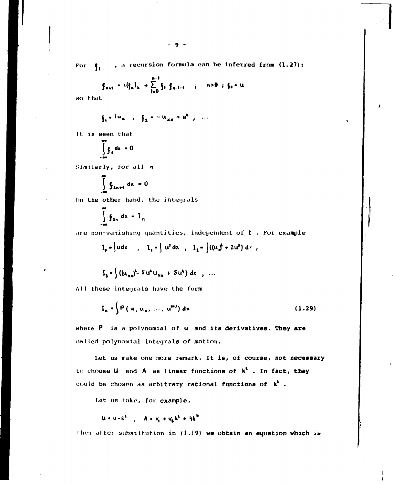$$
\xi_{n+1} = i(\xi_n)_x + \sum_{t=0}^{n-1} \xi_t \cdot \xi_{n-t-1} \qquad ; \qquad n>0 \quad ; \quad \xi_0 = u.
$$

so that

$$
\xi_1 = i u_{x}
$$
,  $\xi_2 = -u_{xx} + u^2$ , ...

It is seen that

$$
\int_{-\infty}^{\infty} \oint_{0} dx = 0
$$

Similarly, for all n

$$
\int_{\frac{\pi}{2}}^{\frac{\pi}{2}} \xi_{2n+1} dx = 0
$$

On the other hand, the integrals

$$
\int_{-\infty}^{\infty} \mathfrak{f}_{2n} \, dx = 1_n
$$

are non-vanishing quantities, independent of  $t$  . For example

$$
I_p = \int u dx
$$
,  $I_1 = \int u^2 dx$ ,  $I_2 = \int ((u_x^2 + 2u^2) dv$ ,

$$
I_3 = \int ((u_{xx})^2 - 5 u^x u_{xx} + 5 u^x) dx , \ldots
$$

All these integrals have the form

$$
I_n \cdot \int P(u, u_x, ..., u^{(n)}) dx
$$
 (1.29)

where P is a polynomial of u and its derivatives. They are called polynomial integrals of motion.

Let us make one more remark. It is, of course, not necessary to choose U and A as linear functions of  $k^2$ . In fact, they could be chosen as arbitrary rational functions of  $k^4$ .

Let us take, for example,

$$
u \cdot u - k^2 \quad , \quad A = v_1 + v_2 k^2 + h k^4
$$

then after substitution in (1.19) we obtain an equation which is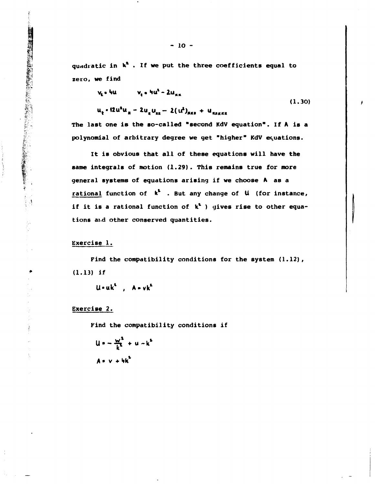quadratic in  $k^2$ . If we put the three coefficients equal to zero, we find

$$
v_{\rm g} = \frac{1}{2} \omega_{\rm g} = \frac{1}{2} \omega_{\rm g} \tag{1.30}
$$

$$
u_{t} \cdot 12u^{2}u_{x} - 2u_{x}u_{xx} - 2(u^{2})_{\text{RRF}} + u_{\text{RARAR}}
$$

The last one is the so-called "second KdV equation". If A is a polynomial of arbitrary degree we get "higher" KdV equations.

It is obvious that all of these equations will have the same integrals of motion (1.29). This remains true for more general systems of equations arising if we choose A as a rational function of  $k^k$ . But any change of  $\mu$  (for instance, if it is a rational function of  $k^2$  ) gives rise to other equations and other conserved quantities.

## Exercise 1.

 $\frac{1}{2}$ 

Find the compatibility conditions for the system (1.12),  $(1.13)$  if

 $u - uk^{t}$ ,  $A - vk^{t}$ 

Exercise 2.

Find the compatibility conditions if

$$
u = -\frac{w^2}{k^2} + u - k^2
$$
  

$$
A = v + hk^2
$$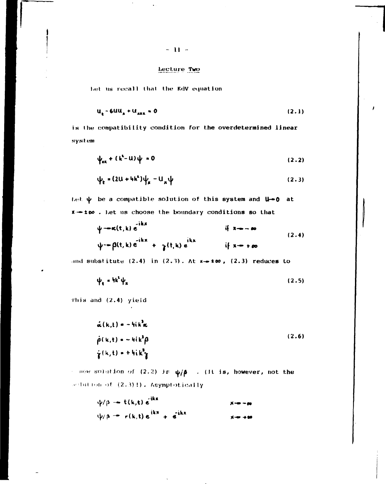## Lecture Two

Let us recall that the KdV equation

$$
u_k - 6uu_k + u_{\max} = 0 \tag{2.1}
$$

is the compatibility condition for the overdetermined linear system

$$
\psi_{xx} + (k^2 - u)\psi = 0 \tag{2.2}
$$

$$
\psi_k = (2U + 4k^2)\psi_{\mu} - U_{\mu}\psi
$$
 (2.3)

Let  $\psi$  be a compatible solution of this system and  $\mathbf{u}\rightarrow \mathbf{0}$  at x-too. Let us choose the boundary conditions so that

$$
\psi = \alpha(t, k) e^{-ikx}
$$
\nif x \to \infty  
\n
$$
\psi = \beta(t, k) e^{-ikx} + \gamma(t, k) e^{ikx}
$$
\nif x \to \infty  
\nif x \to \infty

and substitute  $(2.4)$  in  $(2.3)$ . At  $x \rightarrow \infty$ ,  $(2.3)$  reduces to

$$
\psi_{\mathbf{e}} = {}^{\mathbf{h}\mathbf{k}^{\mathbf{t}}}\psi_{\mathbf{x}} \tag{2.5}
$$

This and (2.4) yield

$$
\hat{\alpha}(k,t) = -hik^2\alpha
$$
  
\n
$$
\hat{\beta}(k,t) = -hik^2\beta
$$
 (2.6)  
\n
$$
\hat{\gamma}(k,t) = +hik^2\gamma
$$

 $\rightarrow$  new solution of (2.2) is  $\psi/\beta$  . (It is, however, not the solution of (2.3)!). Asymptotically

$$
\psi/\beta \rightarrow t(k,t) e^{ikx}
$$
  
\n
$$
\psi/\beta \rightarrow r(k,t) e^{ikx} + e^{ikx}
$$
  
\n
$$
\psi \rightarrow \infty
$$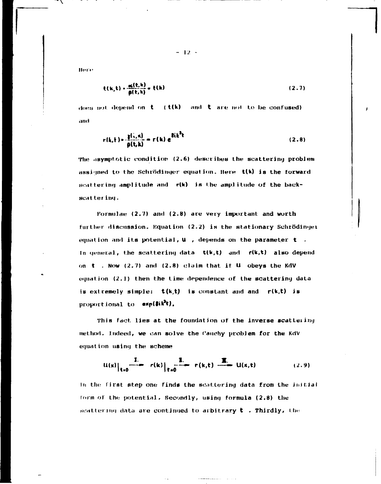**Hore** 

$$
\mathfrak{t}(\mathbf{k},\mathbf{t}) = \frac{\mathbf{c}(\mathbf{t},\mathbf{k})}{\mathbf{p}(\mathbf{t},\mathbf{k})} = \mathbf{t}(\mathbf{k})
$$
 (2.7)

does not depend on  $t = (t(k))$  and  $t$  are not to be confused) anct

$$
r(k,t) = \frac{g(i,\kappa)}{g(t,k)} = r(k) e^{i(k^2t)}
$$
 (2.8)

The asymptotic condition (2.6) describes the scattering problem assigned to the Schrödinger equation. Here t(k) is the forward scattering amplitude and r(k) is the amplitude of the backscattering.

Formulae (2.7) and (2.8) are very important and worth further discussion. Equation (2.2) is the stationary Schrödinger equation and its potential,  $U$ , depends on the parameter  $t$ . In general, the scattering data  $t(k,t)$  and  $r(k,t)$  also depend on  $t$  . Now (2.7) and (2.8) claim that if  $U$  obeys the KdV equation  $(2.1)$  then the time dependence of the scattering data is extremely simple:  $t(k,t)$  is constant and and  $r(k,t)$  is proportional to exp(8ik<sup>2</sup>t).

This fact lies at the foundation of the inverse scattering method. Indeed, we can solve the Cauchy problem for the KdV equation using the scheme

$$
u(x)|_{t=0} \xrightarrow{I} r(k)|_{t=0} \xrightarrow{I} r(k,t) \xrightarrow{I} u(x,t) \qquad (2.9)
$$

In the first step one finds the scattering data from the initial form of the potential. Secondly, using formula (2.8) the scattering data are continued to arbitrary  $t$  . Thirdly, the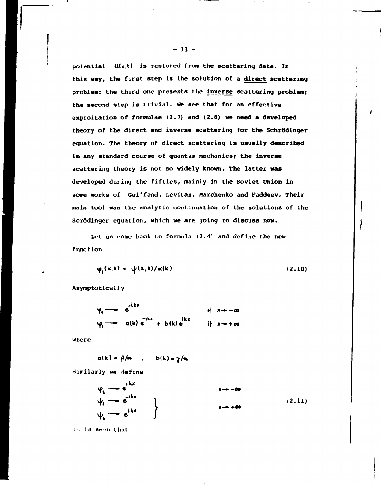potential U(x,t) is restored from the scattering data. In this way, the first step is the solution of a direct scattering problem: the third one presents the inverse scattering problem; the second step is trivial. We see that for an effective exploitation of formulae  $(2.7)$  and  $(2.8)$  we need a developed theory of the direct and inverse scattering for the Schrödinger equation. The theory of direct scattering is usually described in any standard course of quantum mechanics; the inverse scattering theory is not so widely known. The latter was developed during the fifties, mainly in the Soviet Union in some works of Gel'fand, Levitan, Marchenko and Faddeev. Their main tool was the analytic continuation of the solutions of the Scrödinger equation, which we are going to discuss now.

Let us come back to formula (2.4) and define the new function

$$
\varphi_{\lambda}(\mathbf{x}, \mathbf{k}) = \psi(\mathbf{x}, \mathbf{k}) / \alpha(\mathbf{k}) \tag{2.10}
$$

Asymptotically

$$
\varphi_i \longrightarrow e^{ikx} \qquad \text{if } x \longrightarrow \infty
$$
  

$$
\varphi_i \longrightarrow a(k) e^{ikx} + b(k) e^{ikx} \qquad \text{if } x \longrightarrow \infty
$$

where

$$
a(k) = \beta/\alpha
$$
,  $b(k) = \gamma/\alpha$ 

Similarly we define

$$
\varphi_2 \longrightarrow e^{ikx} \n\psi_1 \longrightarrow e^{-ikx} \n\psi_2 \longrightarrow e^{ikx} \n\vdots
$$
\n
$$
\downarrow \qquad \qquad \downarrow
$$
\n
$$
\downarrow \qquad \qquad \downarrow
$$
\n(2.11)

it is seen that

 $-13 -$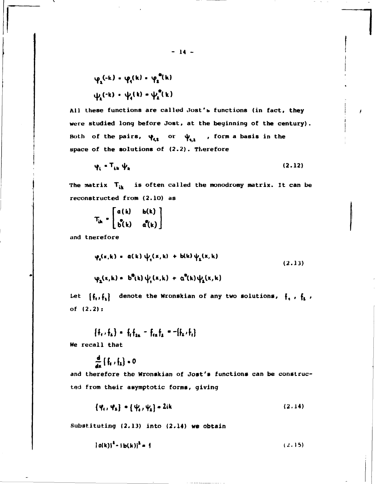$$
\varphi_2(-k) = \varphi_1(k) = \varphi_2^m(k)
$$
  

$$
\psi_2(-k) = \psi_1(k) = \psi_2^m(k)
$$

All these functions are called Jost's functions (in fact, they were studied long before Jost, at the beginning of the century). Both of the pairs,  $\psi_{i,1}$  or  $\psi_{i,1}$ , form a basis in the space of the solutions of (2.2). Therefore

$$
\varphi_i = T_{ik} \psi_k \tag{2.12}
$$

The matrix  $T_{ik}$  is often called the monodromy matrix. It can be reconstructed from (2.10) as

$$
T_{ik} = \begin{bmatrix} a(k) & b(k) \\ b(k) & a(k) \end{bmatrix}
$$

and tnerefore

$$
\varphi_{s}(x,k) = a(k) \psi_{s}(x,k) + b(k) \psi_{s}(x,k)
$$
\n
$$
\varphi_{s}(x,k) = b^{\theta}(k) \psi_{s}(x,k) + a^{\theta}(k) \psi_{s}(x,k)
$$
\n(2.13)

Let  $\{f_i, f_k\}$  denote the Wronskian of any two solutions,  $f_i$ ,  $f_i$ , of  $(2.2)$ :

 ${f_1, f_2} = f_1 f_{1n} - f_{1n} f_2 = -[f_2, f_1]$ 

We recall that

$$
\frac{d}{dx}\left\{\frac{1}{2}t_1, \frac{1}{2}t_2\right\} \in \mathbf{0}
$$

and therefore the Wronskian of Jost's functions can be constructed from their asymptotic forms, giving

 $\{\psi_1, \psi_2\}$  =  $\{\psi_1, \psi_2\}$  = 2ik  $(2.14)$ 

Substituting  $(2.13)$  into  $(2.14)$  we obtain

$$
|a(k)|^2 - |b(k)|^2 = 1
$$
 (2.15)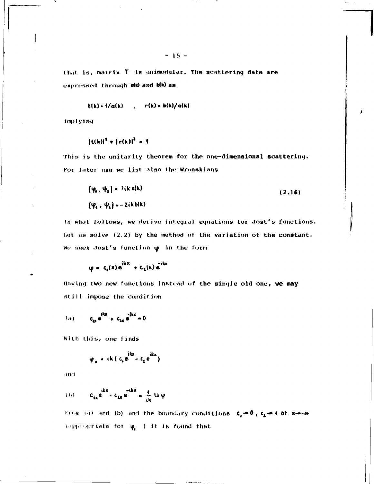that is, matrix T is unimodular. The scattering data are expressed through olk) and blk) as

$$
t(k) \cdot 1/a(k) \qquad , \qquad r(k) \cdot b(k)/a(k)
$$

implying

$$
{(t(k))}^{1} + {(r(k))}^{2} = 1
$$

This is the unitarity theorem for the one-dimensional scattering. For later use we list also the Wronskians

$$
\{\varphi_{\alpha}, \psi_{\alpha}\} = 2ik \alpha(k) \tag{2.16}
$$
  

$$
\{\varphi_{\alpha}, \psi_{\alpha}\} = -2ikb(k)
$$

In what follows, we derive integral equations for Jost's functions. Let us solve (2.2) by the method of the variation of the constant. We seek Jost's function  $\varphi$  in the form

$$
\varphi = c_s(x) e^{ikx} + c_z(x) e^{ikx}
$$

Having two new functions instead of the single old one, we may still impose the condition

(a) 
$$
c_{ax}e^{ikx} + c_{ax}e^{-ikx} = 0
$$

With this, one finds

$$
\varphi_{x} = ik (c_{i}e^{ikx} - c_{i}e^{-ikx})
$$

and

$$
(1) \qquad c_{ix}e^{ikx}-c_{ix}e^{-ikx}=\frac{1}{ik}U\psi
$$

From (a) and (b) and the boundary conditions  $c_j = 0$ ,  $c_k = +$  at x--- $\approx$ (appropriate for  $\phi_i$ ) it is found that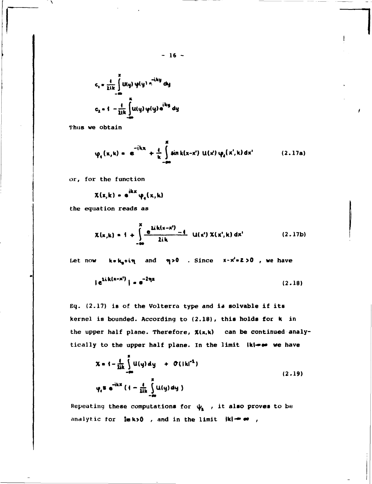$$
c_{i} = \frac{1}{2ik} \int_{-\infty}^{1} U(y) \phi(y) e^{-iky} dy
$$
  

$$
c_{2} = 1 - \frac{1}{2ik} \int_{-\infty}^{1} U(y) \phi(y) e^{iky} dy
$$

Thus we obtain

$$
\varphi_4(x,k) = e^{-ikx} + \frac{1}{k} \int_{-\infty}^{R} \sin k(x-x') \, \mathsf{u}(x') \, \varphi_4(x',k) \, dx' \qquad (2.17a)
$$

 $\mathsf{I}$ 

or, for the function

$$
\chi(x,k) = e^{ikx} \varphi_1(x,k)
$$

the equation reads as

$$
\chi(x,k) = 1 + \int_{-\infty}^{x} \frac{a^{2}+b^{2}+a^{2}}{2+k} = 1 - \chi(x^{2}) \chi(x^{2},k) dx^{2}
$$
 (2.17b)

Let now  $k = k_a + i\eta$  and  $\eta > 0$ . Since  $x - x' = 2 > 0$ , we have

$$
|e^{2ik(x-x^{\prime})}| = e^{-2\eta x}
$$
 (2.18)

Eq. (2.17) is of the Volterra type and is solvable if its kernel is bounded. According to (2.18), this holds for k in the upper half plane. Therefore,  $\chi(x,k)$  can be continued analytically to the upper half plane. In the limit (k)-o we have

$$
\chi = i - \frac{1}{2ik} \int_{-\infty}^{2} U(y) dy + O(|ki^{2})
$$
  

$$
\psi_{i} = e^{-ikx} (1 - \frac{1}{2ik} \int_{-\infty}^{2} U(y) dy)
$$
 (2.19)

Repeating these computations for  $\psi_{2}$ , it also proves to be analytic for  $\text{Im }k>0$ , and in the limit  $|k| \rightarrow \infty$ ,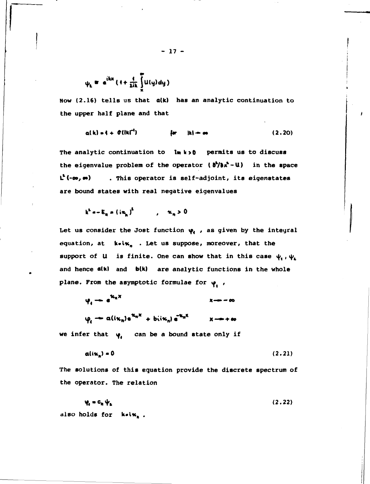$$
\psi_k = e^{ikx} (1 + \frac{1}{2ik} \int\limits_X^x u(y) dy)
$$

Now (2.16) tells us that a(k) has an analytic continuation to the upper half plane and that

$$
a(k) = 1 + \theta(|k|^{-1})
$$
 for  $|k| = \infty$  (2.20)

The analytic continuation to lm k>0 permits us to discuss the eigenvalue problem of the operator  $\theta^4/\theta x^4 - U$  in the space  $L^{1}(-\infty, \infty)$  . This operator is self-adjoint, its eigenstates are bound states with real negative eigenvalues

$$
k^2 = E_n = (i\kappa_n)^2 \qquad , \quad \kappa_n > 0
$$

Let us consider the Jost function  $\varphi_i$ , as given by the integral equation, at k.ix, . Let us suppose, moreover, that the support of U is finite. One can show that in this case  $\psi_1$ ,  $\psi_2$ and hence a(k) and b(k) are analytic functions in the whole plane. From the asymptotic formulae for  $\varphi$ ,

 $\Psi_i \rightarrow e^{i\kappa_n x}$  $\varphi_i \to a(i\kappa_n) e^{\kappa_n x} + b(i\kappa_n) e^{-\kappa_n x}$   $x \to +\infty$ 

we infer that  $\psi_i$  can be a bound state only if

$$
a(i\kappa_n) = 0 \tag{2.21}
$$

The solutions of this equation provide the discrete spectrum of the operator. The relation

 $\Psi_a = \Phi_a + \Psi_a$  $(2.22)$ also holds for k.ix..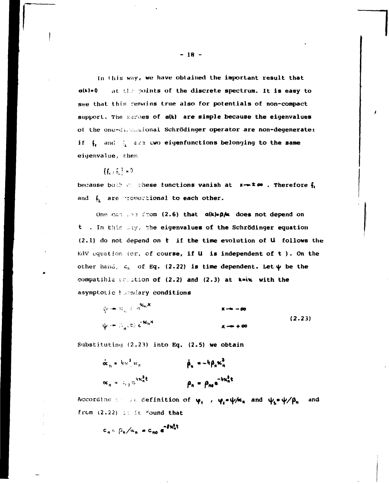In this way, we have obtained the important result that  $a(k) = 0$ at the points of the discrete spectrum. It is easy to see that this remains true also for potentials of non-compact support. The zeroes of a(k) are simple because the eigenvalues of the one-dimensional Schrödinger operator are non-degenerate: if  $\int_{\mathbb{T}}$  and  $\frac{1}{2}$  are two eigenfunctions belonging to the same eigenvalue, then

# ${f_{t+1}} = 0$

because both or these functions vanish at  $x \rightarrow x \infty$ . Therefore  $f_i$ and  $f_2$  are proportional to each other.

One can use from (2.6) that alklep/x does not depend on t . In this way, the eigenvalues of the Schrödinger equation  $(2.1)$  do not depend on  $t$  if the time evolution of  $U$  follows the KdV equation (or, of course, if  $U$  is independent of  $t$  ). On the other hand,  $c_n$  of Eq. (2.22) is time dependent. Let  $\psi$  be the compatible souttion of (2.2) and (2.3) at kaik with the asymptotic houndary conditions

$$
\psi = \sum_{n=1}^{\infty} e^{ik_n x}
$$
  
\n
$$
\psi = \sum_{n=1}^{\infty} (e) e^{ik_n x}
$$
  
\n
$$
\mathbf{x} \rightarrow +\infty
$$
  
\n
$$
\mathbf{x} \rightarrow +\infty
$$
  
\n(2.23)

Substituting (2.23) into Eq. (2.5) we obtain

$$
\dot{\alpha}_n = 4\pi^2 \epsilon_n
$$
\n
$$
\alpha_n = 4\mu_n^2 \epsilon_n
$$
\n
$$
\alpha_n = 4\mu_n^2 \epsilon
$$
\n
$$
\beta_n = \rho_{n0} e^{-4\pi^2 n \epsilon}
$$

According the definition of  $\varphi_1$ ,  $\varphi_4 = \psi/\kappa_n$  and  $\psi_2 = \psi/\beta_n$ and from (2.22) is is found that

$$
c_n = \beta_n / \alpha_n = c_{n0} e^{-\beta k_n^2 t}
$$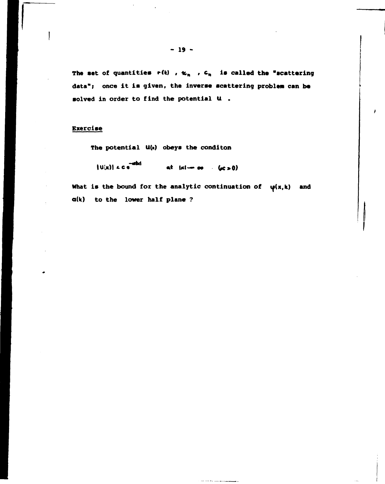The set of quantities  $r(k)$ ,  $k_n$ ,  $c_n$  is called the "scattering data"; once it is given, the inverse scattering problem can be solved in order to find the potential U.

## **Exercise**

The potential U(x) obeys the conditon

 $|U(x)| < c$ at  $ix \rightarrow \infty$  ( $(x > 0)$ )

What is the bound for the analytic continuation of  $\psi(x,k)$  and a(k) to the lower half plane ?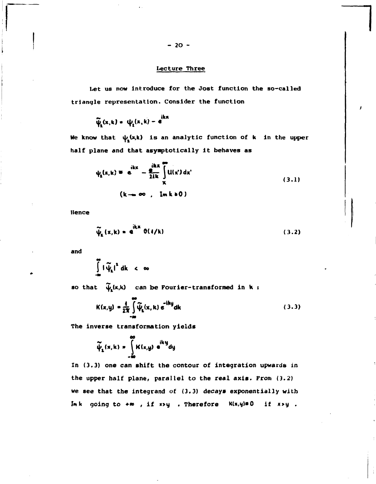## **Lecture Three**

**Let us now introduce for the Jost function the so-called triangle representation. Consider the function** 

$$
\widetilde{\psi}_{\underline{s}}(x,k) = \psi_{\underline{s}}(x,k) - e^{ikx}
$$

**We know that Ц/.(х,к) is an analytic function of к in the upper half plane and that asymptotically it behaves as** 

$$
\psi_{\mathbf{z}}(\mathbf{x}, \mathbf{k}) = \mathbf{e}^{\mathbf{i} \mathbf{k} \mathbf{x}} - \frac{\mathbf{e}^{\mathbf{i} \mathbf{k} \mathbf{x}}}{2 \mathbf{i} \mathbf{k}} \int_{\mathbf{X}}^{\mathbf{i} \mathbf{k} \mathbf{k} \mathbf{k}} \mathbf{U}(\mathbf{x}') d\mathbf{x}'
$$
\n
$$
(\mathbf{k} \rightarrow \infty, \quad \mathbf{Im} \mathbf{k} \cdot \mathbf{0})
$$
\n(3.1)

**Hence** 

$$
\widetilde{\psi}_{\mathbf{a}}(\mathbf{x},\mathbf{k}) = \mathbf{e}^{\mathbf{i}\mathbf{k}\mathbf{x}} \; \mathbf{O}(1/\mathbf{k}) \tag{3.2}
$$

**and** 

$$
\int_{-\infty}^{\infty} |\widetilde{\psi}_k|^2 dk < \infty
$$

so that  $\widetilde{\psi}_i(x,k)$  can be Fourier-transformed in  $k$ :

$$
K(x,y) = \frac{4}{2\pi} \int_{-\infty}^{\infty} \widetilde{\psi}_2(x,k) e^{-iky} dk
$$
 (3.3)

**The inverse transformation yields** 

$$
\widetilde{\psi}_{\mathbf{1}}(\mathbf{x}, \mathbf{k}) = \int_{-\infty}^{\infty} \mathbf{K}(\mathbf{x}, \mathbf{y}) e^{i\mathbf{k}\cdot\mathbf{y}} d\mathbf{y}
$$

**In (3.3) one can shift the contour of integration upwards in the upper half plane, parallel to the real axis. From (3.2) we see that the integrand of (3.3) decays exponentially with**  Imk going to  $+\infty$ , if x>y . Therefore K(x,y)\*0 if x>y .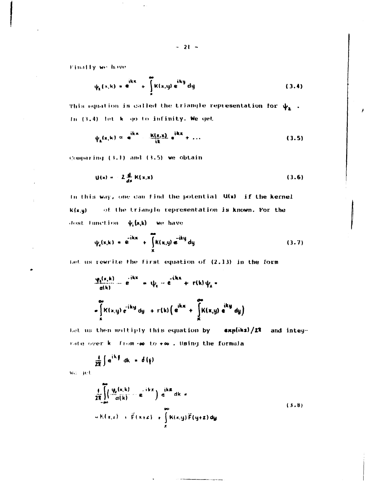$-21 -$ 

Finally we have

$$
\psi_{\mathbf{a}}(x,\mathbf{k}) = \mathbf{e}^{\mathbf{i} \mathbf{k} \mathbf{x}} + \int_{\mathbf{a}}^{\mathbf{i} \mathbf{k} \mathbf{k}} (\mathbf{x},\mathbf{y}) \mathbf{e}^{\mathbf{i} \mathbf{k} \mathbf{y}} d\mathbf{y}
$$
 (3.4)

This equation is called the triangle representation for  $\psi_2$ . In (3.4) let k go to infinity. We get

$$
\psi_{\mathbf{a}}(\mathbf{x},\mathbf{k}) \approx \mathbf{e}^{\mathbf{i}\mathbf{k}\mathbf{x}} \cdot \frac{\mathbf{k}(\mathbf{x},\mathbf{x})}{\mathbf{i}\mathbf{k}} \mathbf{e}^{\mathbf{i}\mathbf{k}\mathbf{x}} + \dots \qquad (3.5)
$$

Comparing (3.1) and (3.5) we obtain

$$
U(x) = 2 \frac{d}{dx} K(x,x)
$$
 (3.6)

In this way, one can find the potential U(x) if the kernel  $K(x,y)$ of the triangle representation is known. For the dost function  $\psi_i(x,k)$  we have

$$
\psi_{\epsilon}(x,k) = e^{-ikx} + \int_{x}^{ikx} k(x,y) e^{-iky} dy
$$
 (3.7)

Let us rewrite the first equation of (2.13) in the form

$$
\frac{\varphi_1(x,k)}{a(k)} = e^{-ikx} + \psi_1 - e^{-ikx} + r(k)\psi_1 - e^{-ikx}
$$
  
\n
$$
= \int_K K(x,y) e^{-iky} dy + r(k) \left( e^{ikx} + \int_K K(x,y) e^{iky} dy \right)
$$

Let us then multiply this equation by expliks)/21 and integrate over k. from .00 to .00. Using the formula

$$
\frac{4}{2\pi}\int e^{ik\frac{\pi}{2}}\,dk = \delta(\xi)
$$

wa get.

$$
\frac{4}{2\pi}\int_{\alpha}^{2\pi}\left(\frac{v_{\alpha}(x,k)}{\alpha(k)}-\mathbf{e}^{-ikx}\right)e^{ikx}dx =
$$
\n
$$
w(K(x,z)+\tilde{F}(x+z)+\int_{z}^{\infty}K(x,y)\tilde{F}(y+z)dy
$$
\n(3.8)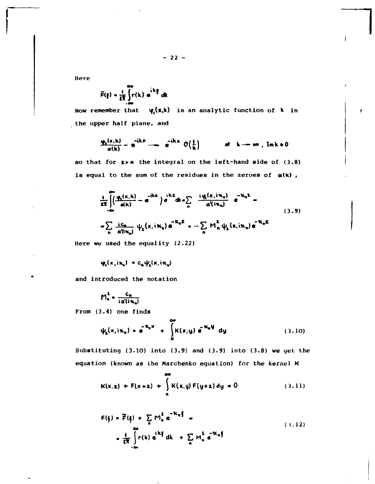Here

$$
\widetilde{F}(\mathbf{f}) = \frac{1}{2R} \int_{0}^{R} r(k) e^{ik\mathbf{f}} dk
$$

 $\psi_t(x,k)$  is an analytic function of k in Now remember that the upper half plane, and

$$
\frac{\Psi_{\mathbf{a}}(\mathbf{x},\mathbf{k})}{\mathbf{a}(\mathbf{k})} = \mathbf{e}^{-\mathbf{i}\mathbf{k}\mathbf{x}} - \mathbf{e}^{-\mathbf{i}\mathbf{k}\mathbf{x}} \mathbf{O}\left(\frac{1}{\mathbf{k}}\right) \qquad \text{at } \mathbf{k} \to \infty, \text{ Im } \mathbf{k} \neq 0
$$

so that for  $z \rightarrow \kappa$  the integral on the left-hand side of (3.8) is equal to the sum of the residues in the zeroes of alk),

$$
\frac{1}{2\pi} \int_{-\infty}^{\infty} \left( \frac{\varphi_1(x,k)}{a(k)} - \varepsilon^{-ikx} \right) e^{-ikx} dk \cdot \sum_{n} \frac{i\varphi_1(x,i\pi_n)}{a'(i\pi_n)} e^{-ik_n^2} - \sum_{n} \frac{i c_n}{a'(i\pi_n)} \psi_2(x,i\pi_n) e^{-ik_n^2} - \sum_{n} M_n^2 \psi_2(x,i\pi_n) e^{-ik_n^2}
$$
\n(3.9)

Here we used the equality  $(2.22)$ 

$$
\varphi_i(x, i\kappa_n) = c_n \psi_i(x, i\kappa_n)
$$

and introduced the notation

$$
M_n^2 = \frac{C_n}{i \alpha'(i \kappa_n)}
$$

From (3.4) one finds

$$
\psi_{2}(x,i\kappa_{n}) = e^{-k_{n}x} + \int_{x}^{\infty} K(x,y) e^{-k_{n}y} dy
$$
 (3.10)

Substituting  $(3.10)$  into  $(3.9)$  and  $(3.9)$  into  $(3.8)$  we get the equation (known as the Marchenko equation) for the kernel K

 $\overline{\phantom{a}}$ 

$$
K(x,z) + F(x+z) + \int_{x}^{x} K(x,y) F(y+z) dy = 0
$$
 (3.11)

$$
F(\xi) = \widetilde{F}(\xi) + \sum_{n} M_{n}^{2} e^{-K_{n}\xi} =
$$
\n
$$
= \frac{4}{2\pi} \int_{-\infty}^{\infty} r(k) e^{iK\xi} dk + \sum_{n} M_{n}^{2} e^{-K_{n}\xi}
$$
\n(3.12)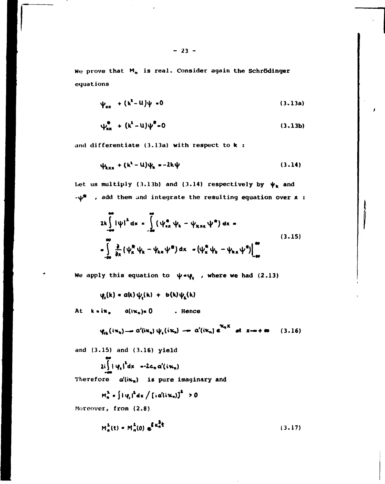We prove that  $M_n$  is real. Consider again the Schrödinger equations

$$
\psi_{xx} + (k^2 - U)\psi = 0 \tag{3.13a}
$$

$$
\psi_{xx}^{\bullet} + (k^{\lambda} - u)\psi^{\bullet} = 0 \tag{3.13b}
$$

and differentiate  $(3.13a)$  with respect to  $k$ :

$$
\psi_{kxx} + (k^2 - U)\psi_k = -2k\psi
$$
 (3.14)

Let us multiply (3.13b) and (3.14) respectively by  $\psi_k$  and  $-\psi^*$  , add them und integrate the resulting equation over  $x :$ 

$$
2k \int_{-\infty}^{\infty} |\psi|^2 dx = \int_{-\infty}^{\infty} (\psi_{nx}^{\alpha} \psi_k - \psi_{knx} \psi^{\alpha}) dx =
$$
  

$$
= \int_{-\infty}^{\infty} \frac{\partial}{\partial x} (\psi_x^{\alpha} \psi_k - \psi_{kx} \psi^{\alpha}) dx - (\psi_x^{\alpha} \psi_k - \psi_{kx} \psi^{\alpha}) \Big|_{-\infty}^{\infty}
$$
  
(3.15)

We apply this equation to  $\psi \cdot \psi_i$ , where we had (2.13)

 $\psi_i(k) = a(k)\psi_i(k) + b(k)\psi_k(k)$ 

At  $k \cdot i \kappa_n$   $a(i\kappa_n) = 0$  . Hence

$$
\psi_{ik}(i\kappa_n) \longrightarrow \alpha'(i\kappa_n) \psi_i(i\kappa_n) \longrightarrow \alpha'(i\kappa_n) e^{\kappa_n x} \text{ at } x \to +\infty \qquad (3.16)
$$

and (3.15) and (3.16) yield

$$
2i\int_{\mathbb{R}^n} i \psi_n i^2 dx = -2c_n \alpha'(i\kappa_n)
$$

Therefore  $\alpha'(i\kappa_n)$  is pure imaginary and

$$
M_n^2 \circ \int i \phi_i \, i^2 dx \bigg/ \left[ i \alpha' (i \kappa_n) \right]^2 \ge 0
$$

Moreover, from (2.8)

$$
M_n^2(t) = M_n^2(0) e^{\int_0^t K_n^2 t}
$$
 (3.17)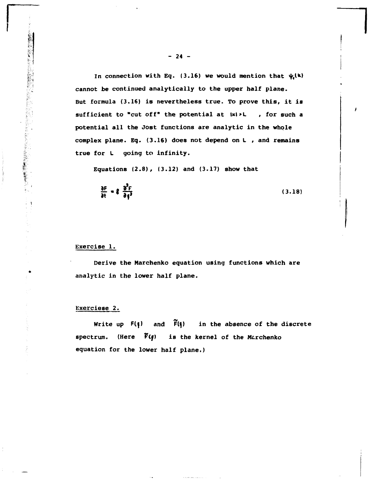In connection with Eq.  $(3.16)$  we would mention that  $\psi_i(k)$ **cannot be continued analytically to the upper half plane. But formula (3.16) is nevertheless true. To prove this, it is sufficient to "cut off" the potential at lxl>L , for such a potential all the Jost functions are analytic in the whole complex plane. Eq. (3.16) does not depend on L , and remains true for L going to infinity.** 

**Equations (2.8), (3.12) and (3.17) show that** 

$$
\frac{\partial F}{\partial t} = 8 \frac{\partial^2 F}{\partial \xi^2}
$$
 (3.18)

#### **Exercise 1.**

このことには、これには、このことを、このことを、このことを、このことを、このことを、このことに、このことを、このことを、このことを、このことを、このことを、このことを、このことを、このことを、このこと

**Derive the Marchenko equation using functions which are analytic in the lower half plane.** 

#### **Exerciese 2.**

**Write up F(f) and F(f) in the absence of the discrete**  spectrum. (Here  $\widetilde{F}(\xi)$  is the kernel of the Marchenko **equation for the lower half plane.)**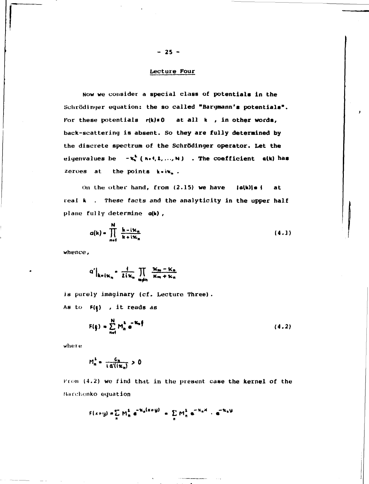## Lecture Four

Now we consider a special class of potentials in the Schrödinger equation: the so called "Bargmann's potentials". For these potentials  $r(k)=0$  at all  $k$ , in other words, back-scattering is absent. So they are fully determined by the discrete spectrum of the Schrödinger operator. Let the eigenvalues be  $-\kappa_h^2$  (n.4, 1, ..., N) . The coefficient  $a(k)$  has zeroes at the points  $k \cdot i \kappa_n$ .

On the other hand, from (2.15) we have  $|a(k)| = |$ at real k . These facts and the analyticity in the upper half plane fully determine a(k),

$$
a(k) = \prod_{n=1}^{N} \frac{k - i\kappa_n}{k + i\kappa_n}
$$
 (4.1)

whence,

$$
q'\Big|_{k=1\kappa_n} = \frac{1}{2i\kappa_n} \prod_{m\neq n} \frac{\kappa_m - \kappa_n}{\kappa_m + \kappa_n}
$$

is purely imaginary (cf. Lecture Three). As to  $F(\xi)$ , it reads as

$$
F(\xi) = \sum_{n=1}^{N} M_n^2 e^{-K_n \xi}
$$
 (4.2)

where

$$
M_n^2 = \frac{c_n}{\ln(\ln n)} > 0
$$

From (4.2) we find that in the present case the kernel of the Marchenko equation

$$
F(x+y) = \sum_{n} M_n^2 e^{-K_n(x+y)} = \sum_{n} M_n^2 e^{-K_n x} \cdot e^{-K_n y}
$$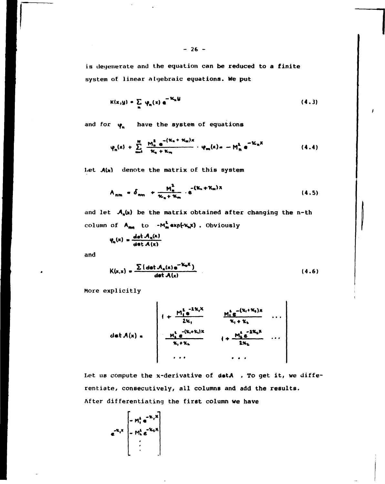is degenerate and the equation can be reduced to a finite system of linear algebraic equations. We put

$$
K(x,y) = \sum_{n} \phi_n(x) e^{-\mathcal{H}_n y}
$$
 (4.3)

and for  $\varphi_n$  have the system of equations

$$
\varphi_n(x) + \sum_{m=1}^N \frac{M_n^2 e^{-(K_n + K_m)x}}{K_n + K_m} \cdot \varphi_m(x) = -M_n^2 e^{-K_n x}
$$
 (4.4)

Let  $A(x)$  denote the matrix of this system

$$
A_{nm} = \delta_{nm} + \frac{M_m^2}{\kappa_n + \kappa_m} \cdot e^{-(\kappa_n + \kappa_m)x}
$$
 (4.5)

and let  $A_n(x)$  be the matrix obtained after changing the n-th column of  $A_{mn}$  to  $-M_m^2 \exp\{\kappa_n x\}$ . Obviously

$$
\psi_n(x) = \frac{\det A_n(x)}{\det A(x)}
$$

and

$$
K(x,x) = \frac{\sum (\det A_n(x) e^{-K_n x})}{\det A(x)}
$$
 (4.6)

More explicitly

$$
det A(x) = \begin{pmatrix}\n\frac{M_1^2 e^{-2K_1 X}}{2K_1} & \frac{M_1^2 e^{-(K_1 + K_1)X}}{K_1 + K_1} & \cdots \\
\frac{M_k^2 e^{-(K_k + K_k)X}}{K_1 + K_2} & \cdots & \frac{M_k^2 e^{-2K_k X}}{2K_k} & \cdots \\
\vdots & \vdots & \ddots & \vdots \\
\frac{M_k^2 e^{-(K_k + K_k)X}}{2K_1 + K_2} & \cdots & \frac{M_k^2 e^{-2K_k X}}{2K_k}\n\end{pmatrix}
$$

Let us compute the x-derivative of detA . To get it, we differentiate, consecutively, all columns and add the results. After differentiating the first column we have

$$
e^{-k_1x} \begin{bmatrix} -m_1^k e^{-k_1x} \\ -M_k^k e^{-k_2x} \\ \vdots \\ \end{bmatrix}
$$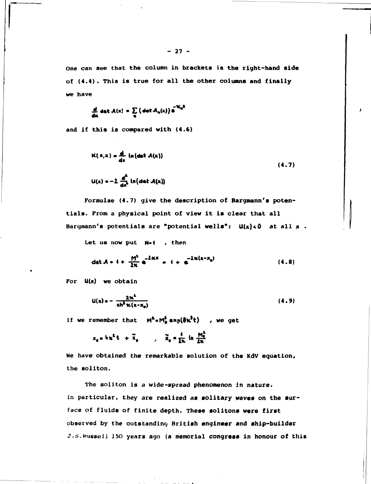**One can see that the column in brackets is the right-hand side of (4.4) . This is true for all the other columns and finally we have** 

$$
\frac{d}{dx} \det A(x) = \sum_{n} \left( \det A_n(x) \right) e^{-X_n x}
$$

**and if this is compared with (4.6)** 

$$
K(x,x) = \frac{d}{dx} \ln(\det A(x))
$$
\n(4.7)\n
$$
L(x) = -2 \frac{d^2}{dx^2} \ln(\det A(x))
$$

**Formulae (4.7) give the description of Bargmann's potentials. From a physical point of view it is clear that all**  Bargmann's potentials are "potential wells": U(x)<0 at all x .

Let us now put N-f , then

$$
\det A = 4 + \frac{M^2}{2\kappa} e^{-2\kappa\kappa} = 4 + e^{-2\kappa(x - x_0)}
$$
 (4.8)

**For U(x) we obtain** 

$$
u(x) = -\frac{2x^2}{ch^2 \kappa(x-x_0)}
$$
 (4.9)

If we remember that  $M^2 \cdot M^2 \cdot x \cdot \frac{1}{2}$  , we get

$$
x_0 = h \kappa^2 t + \widetilde{x}_0 \qquad , \quad \widetilde{x}_0 = \frac{4}{2\kappa} \ln \frac{M_0^2}{2\kappa}.
$$

**We have obtained the remarkable solution of the KdV equation, the soliton.** 

**The soliton is a wide-spread phenomenon in nature. In particular, they are realized as solitary waves on the surface of fluids of finite depth. These solitons were first observed by the outstanding British engineer and ship-builder J.S.Russe!J 150 years ago (a memorial congress in honour of this**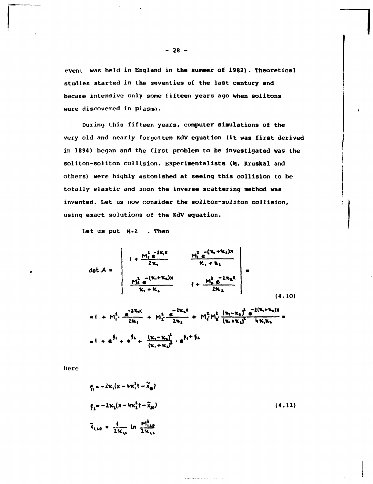event was held in England in the summer of 1982). Theoretical studies started in the seventies of the last century and became intensive only some fifteen years ago when solitons were discovered in plasma.

During this fifteen years, computer simulations of the very old and nearly forgotten KdV equation (it was first derived in 1894) began and the first problem to be investigated was the soliton-soliton collision. Experimentalists (M. Kruskal and others) were highly astonished at seeing this collision to be totally elastic and soon the inverse scattering method was invented. Let us now consider the soliton-soliton collision, using exact solutions of the KdV equation.

Let us put N-2 . Then

Here

$$
\mathbf{g}_{1} = -2\kappa_{1}(\mathbf{x} - \mathbf{W}\mathbf{x}_{1}^{2} \mathbf{t} - \tilde{\mathbf{x}}_{10})
$$
\n
$$
\mathbf{g}_{2} = -2\kappa_{2}(\mathbf{x} - \mathbf{W}\mathbf{x}_{2}^{2} \mathbf{t} - \tilde{\mathbf{x}}_{10})
$$
\n
$$
\tilde{\mathbf{x}}_{1,20} = \frac{4}{2\kappa_{1,2}} \ln \frac{\mathbf{M}_{1,20}^{2}}{2\kappa_{1,2}}
$$
\n(4.11)

 $-28 -$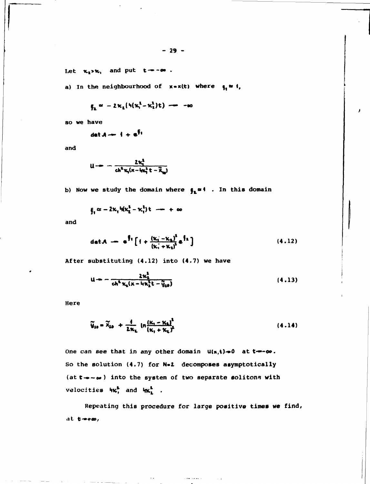Let  $\kappa_1 > \kappa_1$  and put  $t \rightarrow -\infty$ .

a) In the neighbourhood of  $x = x(t)$  where  $g_t = 1$ ,

$$
\xi_k \approx -2\kappa_t(\mathfrak{h}(\kappa_t^k - \kappa_k^k)t) \implies -\infty
$$

so we have

$$
\det A \rightarrow + e^{Ft}
$$

and

$$
u \rightarrow -\frac{2\kappa_i^2}{ch^2\kappa_i(\kappa - \ln_i^2 t - \widetilde{\kappa}_{\mathbf{u}})}
$$

b) Now we study the domain where  $\int_{\mathbb{R}} x \cdot 1$ . In this domain

$$
\xi_1 \approx -2\kappa_1 \, \text{ln}(\kappa_2^2 - \kappa_1^2) \, \text{t} \quad \text{and} \quad + \, \infty
$$

and

$$
\det A \longrightarrow e^{\int f} \left[ 1 + \frac{(\kappa_1 - \kappa_2)^2}{(\kappa_1 + \kappa_2)^2} e^{\int f_2} \right] \tag{4.12}
$$

After substituting (4.12) into (4.7) we have

$$
u = -\frac{2\kappa_1^2}{ch^4\kappa_1(x - \mu\kappa_1^2t - \tilde{y}_{10})}
$$
 (4.13)

Here

$$
\widetilde{y}_{10} = \widetilde{X}_{10} + \frac{4}{2\kappa_c} \ln \frac{(\kappa_c - \kappa_b)}{(\kappa_c + \kappa_c)^2}
$$
 (4.14)

One can see that in any other domain  $u(x,t)=0$  at  $t=-\infty$ . So the solution (4.7) for N=2 decomposes asymptotically (at  $t \rightarrow -\infty$ ) into the system of two separate solitons with velocities  $\mathbf{W}^{\mathbf{L}}$  and  $\mathbf{W}^{\mathbf{L}}$  .

Repeating this procedure for large positive times we find, at  $t \rightarrow \infty$ ,

sea da as si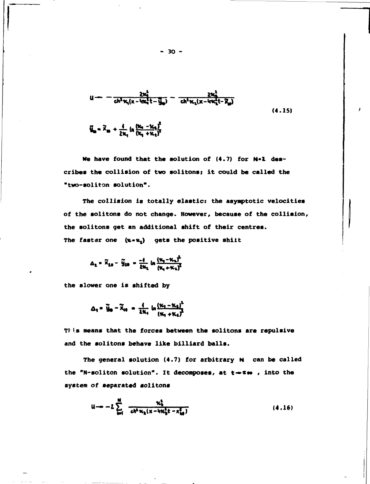$$
u = -\frac{2\kappa_1^2}{ch^2\kappa_1(x - 4\kappa_1^2 t - \bar{y}_{\infty})} - \frac{2\kappa_2^2}{ch^2\kappa_1(x - 4\kappa_1^2 t - \bar{x}_{\infty})}
$$
\n
$$
\tilde{y}_{\infty} = \tilde{x}_{\infty} + \frac{4}{2\kappa_1} \ln \frac{(\kappa_1 - \kappa_1)^2}{(\kappa_1 + \kappa_1)^2}
$$
\n(4.15)

We have found that the solution of  $(4.7)$  for  $N-2$  describes the collision of two solitons; it could be called the "two-soliton solution".

The collision is totally elastic: the asymptotic velocities of the solitons do not change. However, because of the collision, the solitons get an additional shift of their centres. The faster one  $(x \cdot x_1)$  gets the positive shift

$$
\Delta_2 = \tilde{X}_{10} - \tilde{Y}_{20} = \frac{-4}{2\kappa_1} \ln \frac{(\kappa_1 - \kappa_2)^2}{(\kappa_1 + \kappa_2)^2}
$$

the slower one is shifted by

$$
\Delta_1 = \tilde{y}_0 - \tilde{x}_{10} = \frac{4}{2\kappa_4} \ln \frac{( \kappa_1 - \kappa_4)^2}{(\kappa_1 + \kappa_4)^2}
$$

This means that the forces between the solitons are repulsive and the solitons behave like billiard balls.

The general solution (4.7) for arbitrary N can be called the "N-soliton solution". It decomposes, at  $t \rightarrow \infty$ , into the system of separated solitons

$$
u \to -2 \sum_{k=1}^{N} \frac{\kappa_k^2}{c h^2 \kappa_k (x - 4 \kappa_k^2 t - x_{k0}^2)}
$$
 (4.16)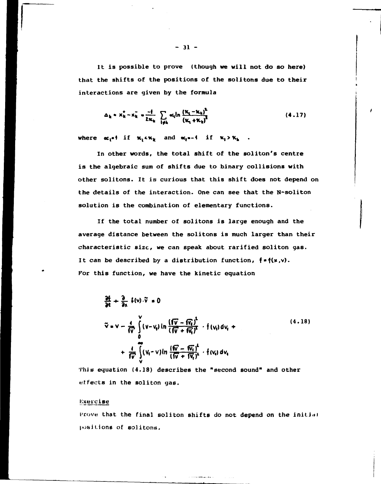**It is possible to prove (though we will not do so here) that the shifts of the positions of the soli tons due to their interactions are given by the formula** 

$$
\Delta_{k} = x_{k}^{+} - x_{k}^{-} = \frac{-1}{2\kappa_{k}} \sum_{i \neq k} \alpha_{i} \ln \frac{(\kappa_{i} - \kappa_{k})^{2}}{(\kappa_{i} + \kappa_{k})^{2}}
$$
(4.17)

where  $\alpha_1$ <sup>\*</sup> if  $\kappa_1$ <sup> $\kappa$ </sup>**k** and  $\alpha_2$ <sup>\*</sup>-4 if  $\kappa_1$  $>$  $\kappa$ <sub>k</sub>.

**In other words, the total shift of the soliton's centre is the algebraic sum of shifts due to binary collisions with other solitons. It is curious that this shift does not depend on the details of the interaction. One can see that the N-soliton solution is the combination of elementary functions.** 

**If the total number of solitons is large enough and the average distance between the solitons is much larger than their characteristic size, we can speak about rarified soliton gas. It can be described by a distribution function, f »f(w,v). For this function, we have the kinetic equation** 

$$
\frac{\partial f}{\partial t} + \frac{\partial}{\partial x} f(v) . \tilde{v} = 0
$$
\n
$$
\tilde{v} = v - \frac{4}{\sqrt{v}} \int_{0}^{v} (v - v_{q}) \ln \frac{(\sqrt{v} - \sqrt{v_{q}})^{2}}{(\sqrt{v} + \sqrt{v_{q}})^{2}} \cdot f(v_{q}) dv_{q} +
$$
\n
$$
+ \frac{4}{\sqrt{v}} \int_{v}^{\infty} (v_{q} - v) \ln \frac{(\sqrt{v} - \sqrt{v_{q}})^{2}}{(\sqrt{v} + \sqrt{v_{q}})^{2}} \cdot f(v_{q}) dv_{q}
$$
\n(4.18)

**This equation (4.18) describes the "second sound" and other effects in the soliton gas.** 

## **Kxeieise**

Prove that the final soliton shifts do not depend on the initial positions of solitons.

**- 31 -**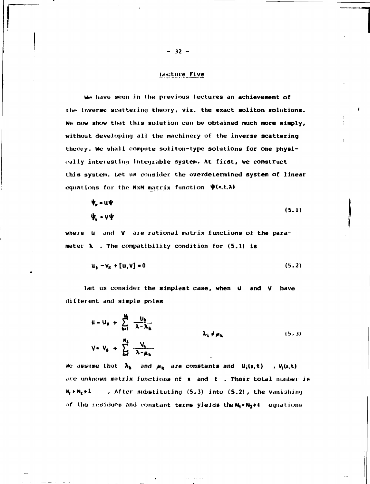## **Lecture Five**

We have seen in the previous lectures an achievement of the inverse scattering theory, viz. the exact soliton solutions. We now show that this solution can be obtained much more simply, without developing all the machinery of the inverse scattering theory. We shall compute soliton-type solutions for one physically interesting integrable system. At first, we construct this system. Let us consider the overdetermined system of linear equations for the NxM matrix function  $\psi(x,t,\lambda)$ 

$$
\Psi_{\mathbf{r}} = \mathbf{u}\Psi
$$
\n
$$
\Psi_{\mathbf{t}} = \nabla\Psi
$$
\n(5.1)

where U and V are rational matrix functions of the parameter  $\lambda$  . The compatibility condition for  $(5.1)$  is

$$
\mathbf{u}_{\mathbf{t}} - \mathbf{v}_{\mathbf{x}} + [\mathbf{u}, \mathbf{v}] = 0 \tag{5.2}
$$

Let us consider the simplest case, when  $\mu$  and V have different and simple poles

$$
u = u_{\theta} + \sum_{k=1}^{N_{\theta}} \frac{u_{k}}{\lambda - \lambda_{k}}
$$
  

$$
v_{\theta} + \sum_{k=1}^{N_{\theta}} \frac{v_{k}}{\lambda - \mu_{k}}
$$
  
(5.3)

We assume that  $\lambda_k$  and  $\mu_k$  are constants and  $U_i(x,t)$ ,  $V_i(x,t)$ are unknown matrix functions of  $x$  and  $t$  . Their total number is  $N<sub>4</sub> + N<sub>2</sub> + 2$ . After substituting (5.3) into (5.2), the vanishing of the residues and constant terms yields the  $N_1 + N_2 + 1$  equations

 $-32 -$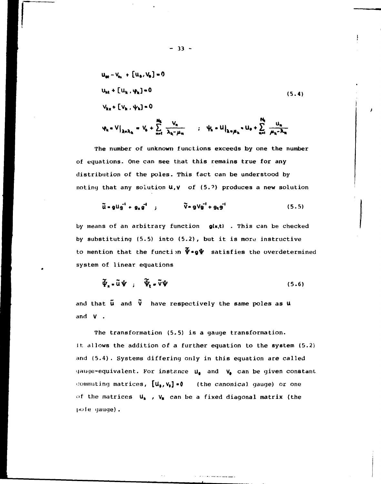$$
u_{nt} - V_{\theta x} + [u_{\theta}, V_{\theta}] = 0
$$
\n
$$
u_{ht} + [u_{k}, \varphi_{k}] = 0
$$
\n
$$
V_{kx} + [V_{k}, \psi_{k}] = 0
$$
\n
$$
\varphi_{k} = V|_{\lambda = \lambda_{k}} = V_{\theta} + \sum_{n=1}^{N_{k}} \frac{V_{n}}{\lambda_{k} - \mu_{n}} \qquad ; \quad \psi_{k} = U|_{\lambda = \mu_{k}} = U_{\theta} + \sum_{n=1}^{N_{k}} \frac{u_{n}}{\mu_{k} - \lambda_{n}}
$$
\n(5.4)

The number of unknown functions exceeds by one the number of equations. One can see that this remains true for any distribution of the poles. This fact can be understood by noting that any solution  $U, V$  of (5.2) produces a new solution

$$
\widetilde{\mathbf{u}} \cdot \mathbf{g} \mathbf{u} \mathbf{g}^{\dagger} \cdot \mathbf{g}_{\mathbf{x}} \mathbf{g}^{\dagger} \qquad ; \qquad \widetilde{\mathbf{V}} \cdot \mathbf{g} \mathbf{V} \mathbf{g}^{\dagger} + \mathbf{g}_{\mathbf{t}} \mathbf{g}^{\dagger} \qquad (5.5)
$$

by means of an arbitrary function  $g(x,t)$  . This can be checked by substituting (5.5) into (5.2), but it is more instructive to mention that the function  $\tilde{\Psi} \cdot g \tilde{\Psi}$  satisfies the overdetermined system of linear equations

$$
\widetilde{\Psi}_{\mathbf{x}} \bullet \widetilde{\mathbf{u}} \Psi \quad ; \quad \widetilde{\Psi}_{\mathbf{t}} \bullet \widetilde{\mathbf{v}} \Psi \tag{5.6}
$$

and that  $\tilde{u}$  and  $\tilde{v}$  have respectively the same poles as  $u$ and V .

The transformation (5.5) is a gauge transformation. Jt allows the addition of a further equation to the system (5.2) and (5.4). Systems differing only in this equation are called gauge-equivalent. For instance  $u_{\bullet}$  and  $v_{\bullet}$  can be given constant commuting matrices,  $[u_s, v_s] \cdot 0$  (the canonical gauge) or one of the matrices  $U_k$  ,  $V_k$  can be a fixed diagonal matrix (the pole gauge).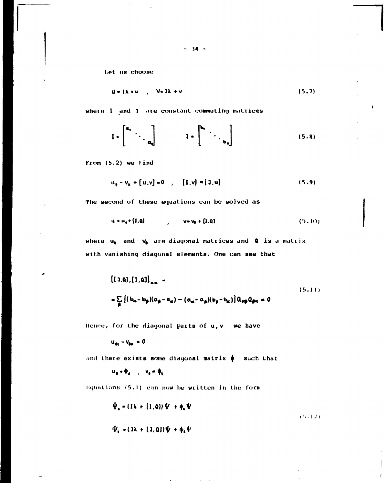Let us choose

$$
u = 1\lambda + u \qquad (5.7)
$$

where I and I are constant commuting matrices

$$
I \bullet \begin{bmatrix} a_1 & \cdots & \cdots & \cdots & \cdots & \cdots & \cdots & \cdots & \cdots & \cdots & \cdots & \cdots & \cdots & \cdots & \cdots & \cdots & \cdots & \cdots & \cdots & \cdots & \cdots & \cdots & \cdots & \cdots & \cdots & \cdots & \cdots & \cdots & \cdots & \cdots & \cdots & \cdots & \cdots & \cdots & \cdots & \cdots & \cdots & \cdots & \cdots & \cdots & \cdots & \cdots & \cdots & \cdots & \cdots & \cdots & \cdots & \cdots & \cdots & \cdots & \cdots & \cdots & \cdots & \cdots & \cdots & \cdots & \cdots & \cdots & \cdots & \cdots & \cdots & \cdots & \cdots & \cdots & \cdots & \cdots & \cdots & \cdots & \cdots & \cdots & \cdots & \cdots & \cdots & \cdots & \cdots & \cdots & \cdots & \cdots & \cdots & \cdots & \cdots & \cdots & \cdots & \cdots & \cdots & \cdots & \cdots & \cdots & \cdots & \cdots & \cdots & \cdots & \cdots & \cdots & \cdots & \cdots & \cdots & \cdots & \cdots & \cdots & \cdots & \cdots & \cdots & \cdots & \cdots & \cdots & \cdots & \cdots & \cdots & \cdots & \cdots & \cdots & \cdots & \cdots & \cdots & \cdots & \cdots & \cdots & \cdots & \cdots & \cdots & \cdots & \cdots & \cdots & \cdots &
$$

From (5.2) we find

$$
u_{k} - v_{k} + [u, v] = 0 \t , [1, v] = [3, u]
$$
\t(5.9)

The second of these equations can be solved as

$$
\mathbf{u} \bullet \mathbf{u_0} \bullet \text{ [I, Q]} \qquad \qquad \mathbf{v} \bullet \mathbf{v_0} \bullet \text{ [3, Q]} \tag{5.10}
$$

where  $u_0$  and  $v_0$  are diagonal matrices and Q is a matrix with vanishing diagonal elements. One can see that

$$
[(1, a), [1, a]]_{aa} =
$$
  
=  $\sum_{\alpha} \{ (b_{\alpha} - b_{\beta})(a_{\beta} - a_{\alpha}) - (a_{\alpha} - a_{\beta})(b_{\beta} - b_{\alpha}) \} a_{\alpha\beta} a_{\beta\alpha} = 0$  (5.11)

Hence, for the diagonal parts of u, v we have

 $u_{\alpha\alpha} - v_{\alpha\alpha} = 0$ 

and there exists some diagonal matrix  $\phi$  such that

 $u_0 \cdot \phi_n$ ,  $v_0 \cdot \phi_t$ 

Equations (5.1) can now be written in the form

$$
\Psi_{\mathbf{x}} = (1\lambda + (1,\mathbf{Q}))\Psi + \phi_{\mathbf{x}}\Psi
$$
  

$$
\Psi_{\mathbf{t}} = (3\lambda + (3,\mathbf{Q}))\Psi + \phi_{\mathbf{t}}\Psi
$$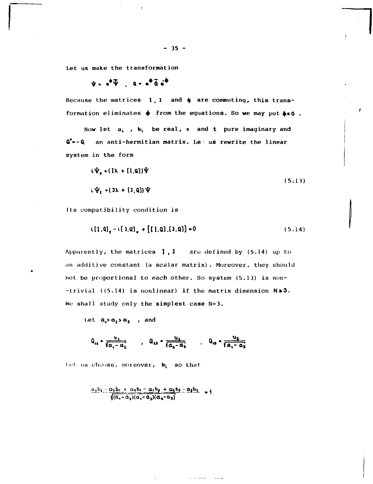Let us make the transformation

 $\Psi = e^{\Phi} \overline{\Psi}$ ,  $Q = e^{\Phi} \overline{Q} e^{\Phi}$ 

Because the matrices  $1, 1$  and  $\phi$  are commuting, this transformation eliminates  $\phi$  from the equations. So we may put  $\phi \bullet 0$ .

Now let  $a_i$ ,  $b_i$  be real, x and t pure imaginary and Q<sup>+</sup>--Q an anti-hermitian matrix. Le: us rewrite the linear system in the form

$$
i\Psi_{\kappa} \approx (I\lambda + [1,0])\Psi
$$
  
\n
$$
i\Psi_{\kappa} \approx (J\lambda + [1,0])\Psi
$$
 (5.13)

Its compatibility condition is

$$
\mathbf{t}[1,0], -\mathbf{i}[3,0], +\left[\left[1,0\right], \left[3,0\right]\right] = 0 \tag{5.14}
$$

Apparently, the matrices  $1, 1$  are defined by (5.14) up to an additive constant (a scalar matrix). Moreover, they should not be proportional to each other. So system (5.13) is non- $-trivial$  ((5.14) is nonlinear) if the matrix dimension  $N=3$ . We shall study only the simplest case N=3.

Let  $a_1 > a_1 > a_3$ , and

$$
Q_{11} = \frac{u_1}{\sqrt{a_1 - a_1}}
$$
,  $Q_{13} = \frac{u_1}{\sqrt{a_2 - a_3}}$ ,  $Q_{13} = \frac{u_3}{\sqrt{a_1 - a_3}}$ 

Let us choose, moreover, b; so that

$$
\frac{a_1b_1 - a_1b_1 + a_2b_1 - a_1b_2 + a_1b_2 - a_2b_1}{\sqrt{(a_1 - a_1)(a_1 - a_2)(a_2 - a_2)}}
$$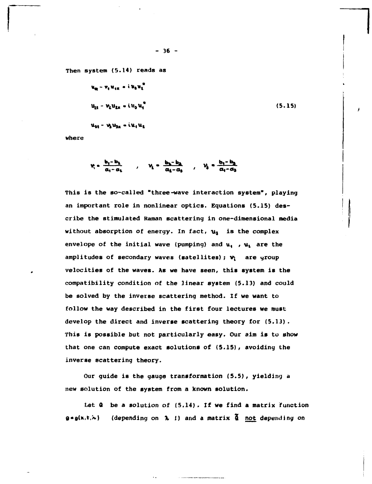**Then system (5.14) reads as** 

$$
u_{R} - v_{q} u_{qR} = i u_{q} u_{l}^{q}
$$
  
\n
$$
u_{R} - v_{l} u_{lR} = i u_{q} u_{q}^{q}
$$
  
\n
$$
u_{M} - v_{l} u_{g_{R}} = i u_{l} u_{l}
$$
  
\n(5.15)

**where** 

$$
v_i = \frac{b_i - b_1}{a_i - a_1} \qquad , \qquad v_i = \frac{b_1 - b_2}{a_1 - a_3} \qquad , \qquad v_i = \frac{b_i - b_2}{a_i - a_3}
$$

**This is the so-called "three-wave interaction system", playing an important role in nonlinear optics. Equations (5.15) describe the stimulated Raman scattering in one-dimensional media without absorption of energy. In fact,** *щ* **is the complex envelope of the initial wave (pumping) and u, , ut are the amplitudes of secondary waves (satellites);** *V\* **are yroup velocities of the waves. As we have seen, this system is the compatibility condition of the linear system (5.13) and could be solved by the inverse scattering method. If we want to follow the way described in the first four lectures we must develop the direct and inverse scattering theory for (5.13). This is possible but not particularly easy. Our aim is to show that one can compute exact solutions of (5.15), avoiding the inverse scattering theory.** 

**Our guide is the gauge transformation (5.5), yielding a new solution of the system from a known solution.** 

**Let: Q be a solution of (5.14) . If we find a matrix function**   $g \cdot g(x,t,\kappa)$  (depending on  $\lambda$  1) and a matrix  $\tilde{Q}$  not depending on

**- 36 -**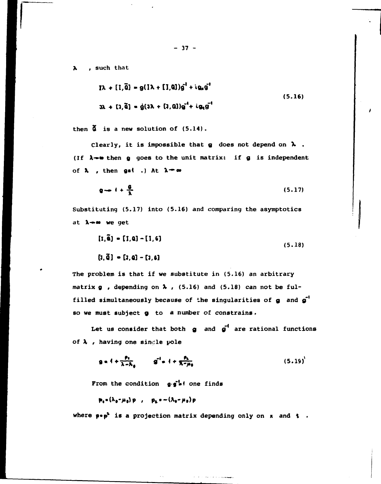, such that  $\lambda$ 

$$
IN + [I, \tilde{Q}] = g(IA + [I, Q])g1 + igng1
$$
  

$$
3\lambda + [I, \tilde{Q}] = g(3\lambda + [J, Q])g1 + igng1
$$
 (5.16)

then  $\tilde{a}$  is a new solution of  $(5.14)$ .

Clearly, it is impossible that  $g$  does not depend on  $\lambda$ . (If  $\lambda \rightarrow 0$  then g goes to the unit matrix: if g is independent of  $\lambda$  , then gat .) At  $\lambda = \infty$ 

$$
q \rightarrow 1 + \frac{6}{\lambda} \tag{5.17}
$$

Substituting (5.17) into (5.16) and comparing the asymptotics at  $\lambda - \omega$  we get

$$
[1,\tilde{a}] = [1,a] - [1,6]
$$
  
\n
$$
[3,\tilde{a}] = [3,a] - [3,6]
$$
 (5.18)

The problem is that if we substitute in (5.16) an arbitrary matrix  $g$ , depending on  $\lambda$ , (5.16) and (5.18) can not be fulfilled simultaneously because of the singularities of g and g<sup>+</sup> so we must subject g to a number of constrains.

Let us consider that both  $g$  and  $g'$  are rational functions of  $\lambda$ , having one single pole

$$
g = 4 + \frac{\rho_1}{\lambda - \lambda_0} \qquad g^{-1} = 4 + \frac{\rho_1}{\lambda - \mu_0} \tag{5.19}
$$

From the condition gg's one finds

$$
p_4 = (\lambda_0 - \mu_0) p \quad , \quad p_5 = -(\lambda_0 - \mu_0) p
$$

where  $p \cdot p^2$  is a projection matrix depending only on x and  $t$ .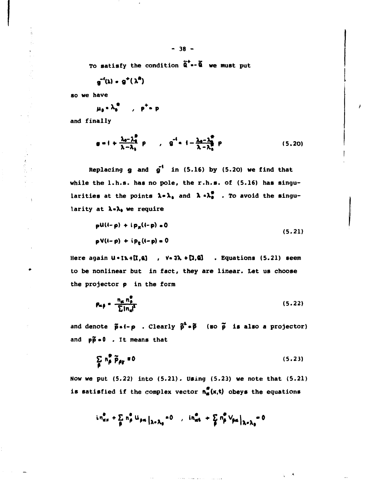To satisfy the condition  $\tilde{a}^{\dagger}$  **•-**  $\tilde{a}$  we must put

 $g^{-1}(\lambda) - g^{+}(\lambda^{2})$ 

**so we have** 

 $\mu_{\bullet} \cdot \lambda_{\bullet}^{\bullet}$ ,  $\rho^{+} \cdot p$ 

**and finally** 

 $\ddot{\phantom{a}}$ 

$$
g = 1 + \frac{\lambda_0 - \lambda_0^2}{\lambda - \lambda_0} p \qquad , \qquad g^{-1} = 1 - \frac{\lambda_0 - \lambda_0^2}{\lambda - \lambda_0^2} p \qquad (5.20)
$$

**Replacing g and**  $g'$  **in (5.16) by (5.20) we find that while the l.h.s. has no pole, the r.h.s. of (5.16) has singu**larities at the points  $\lambda \cdot \lambda_a$  and  $\lambda \cdot \lambda_a^2$  . To avoid the singu**larity at X»X» we require** 

$$
pU(1-p) + i px(1-p) = 0
$$
 (5.21)  

$$
pV(1-p) + i pg(1-p) = 0
$$

Here again  $U \cdot I \lambda + [I, \alpha]$  ,  $V \cdot J \lambda + [J, \alpha]$  . Equations (5.21) seem **to be nonlinear but in fact, they are linear. Let us choose the projector p in the form** 

$$
P_{\alpha\beta} = \frac{n_{\alpha} n_{\beta}^{\alpha}}{\sum |n_{\alpha}|^2}
$$
 (5.22)

and denote  $\tilde{p} \cdot (-p)$ . Clearly  $\tilde{p}^2 \cdot \tilde{p}$  (so  $\tilde{p}$  is also a projector) and  $p\tilde{p}$  = 0 . It means that

$$
\sum_{\beta} n_{\beta}^{\frac{m}{2}} \widetilde{p}_{\beta \gamma} = 0 \tag{5.23}
$$

**Now we put (5.22) into (5.21). Using (5.23) we note that (5.21)**  is satisfied if the complex vector  $n_{\alpha}^{\alpha}(x,t)$  obeys the equations

$$
in_{\alpha\alpha}^{\Phi} + \sum_{\beta} n_{\beta}^{\alpha} u_{\beta\alpha} |_{\lambda = \lambda_0} \circ 0 \quad , \quad in_{\alpha\alpha}^{\Phi} + \sum_{\beta} n_{\beta}^{\alpha} v_{\beta\alpha} |_{\lambda = \lambda_0} = 0
$$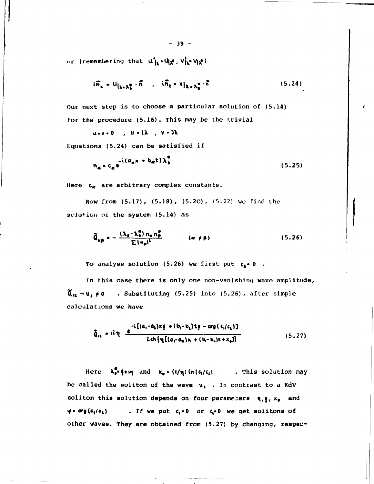or (remembering that  $u^{\dagger}_{jk}$   $\cdot u^{\dagger}_{jk}$ ,  $v^{\dagger}_{ik}$   $v_{ik}$ )

$$
i\vec{n}_x = u_{\vert \lambda_x, \lambda_y^{\alpha}} \cdot \vec{n} \quad , \quad i\vec{n}_t = v_{\vert \lambda_x, \lambda_y^{\alpha}} \cdot \vec{n} \tag{5.24}
$$

Our next step is to choose a particular solution of (5.14) for the procedure (5.16). This may be the trivial

 $u \cdot v = 0$ ,  $u \cdot 1\lambda$ ,  $v \cdot 3\lambda$ 

Equations (5.24) can be satisfied if

$$
n_{\alpha} * c_{\alpha} e^{-i(a_{\alpha} x + b_{\alpha} t)\lambda_{\alpha}^{\alpha}}
$$
 (5.25)

Here  $c_{\preccurlyeq}$  are arbitrary complex constants.

Now from (5.17), (5.18), (5.20), (5.22) we find the solution of the system (5.14) as

$$
\tilde{Q}_{w\beta} = -\frac{(\lambda_{\beta} - \lambda_{\beta}^2) n_{w} n_{\beta}^2}{\sum |n_{w}|^2} \qquad (w \neq \beta)
$$
 (5.26)

To analyse solution (5.26) we first put  $c_1 = 0$ .

In this case there is only one non-vanishing wave amplitude,  $\tilde{\mathbf{\alpha}}_{11} \sim \mathbf{u}_1 \neq 0$  . Substituting (5.25) into (5.26), after simple calculations we have

$$
\tilde{Q}_{1L} = i2\eta \frac{e^{-i[(a_1 - a_2)x\xi + (b_1 - b_1)t\xi - arg(c_1/c_1)]}}{2ch[\eta[(a_1 - a_1)x + (b_1 - b_1)t + x_0]]}
$$
\n(5.27)

Here  $\lambda_0^{\sigma}$  if in and  $x_0 = (1/\eta) \ln |c_1/c_1|$  . This solution may be called the soliton of the wave  $u_i$ . In contrast to a KdV soliton this solution depends on four parameters  $\eta, \xi$ ,  $x_0$  and  $\varphi$  = arg (c<sub>1</sub>/c<sub>2</sub>) . If we put  $c_i \cdot 0$  or  $c_i \cdot 0$  we get solitons of other waves. They are obtained from (5.27) by changing, respec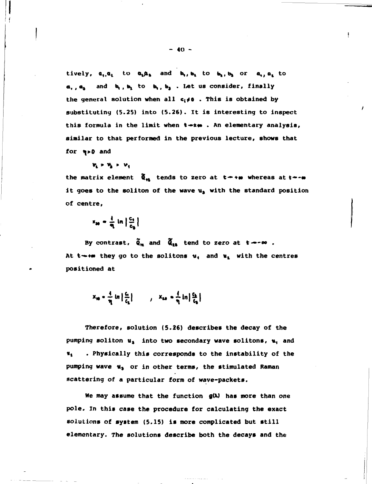$\mathbf{t}$ **ively,**  $\mathbf{a}_1 \cdot \mathbf{a}_2$  to  $\mathbf{a}_2 \cdot \mathbf{a}_3$  and  $\mathbf{b}_1 \cdot \mathbf{b}_2$  to  $\mathbf{b}_2 \cdot \mathbf{b}_3$  or  $\mathbf{a}_1 \cdot \mathbf{a}_3$  to a, a<sub>s</sub> and b, b, to b, b, . Let us consider, finally **the general solution when all c(^o . This is obtained by substituting (5.25) into (5.26). It is interesting to inspect**  this formula in the limit when  $t \rightarrow t \omega$ . An elementary analysis, **similar to that performed in the previous lecture, shows that for ц>0 and** 

$$
\nu_i > \nu_i > \nu_i
$$

the matrix element  $\tilde{\mathbf{q}}_{\mathbf{m}}$  tends to zero at  $\mathbf{t} \rightarrow \mathbf{w}$  whereas at  $\mathbf{t} \rightarrow -\mathbf{w}$ **it goes to the soliton of the wave ua with the standard position of centre.** 

$$
x_{20} = \frac{1}{\eta} \ln \left| \frac{c_1}{c_2} \right|
$$

By contrast,  $\tilde{\mathbf{q}}_{\mathbf{n}}$  and  $\tilde{\mathbf{q}}_{\mathbf{n}}$  tend to zero at  $t \rightarrow \infty$ . At  $t \rightarrow \infty$  they go to the solitons  $u_i$  and  $u_i$  with the centres **positioned at** 

$$
X_{10} = \frac{4}{\eta} \ln \left| \frac{C_1}{C_2} \right| \qquad , \quad X_{20} = \frac{4}{\eta} \ln \left| \frac{C_2}{C_3} \right|
$$

**Therefore, solution (5.26) describes the decay of the pumping soliton u, into two secondary wave solitons, u, and «t . Physically this corresponds to the instability of the**  pumping wave  $u_3$  or in other terms, the stimulated Raman **scattering of a particular form of wave-packets.** 

We may assume that the function  $g(\lambda)$  has more than one **pole. In this case the procedure for calculating the exact solutions of system (5.15) is more complicated but still elementary. The solutions describe both the decays and the**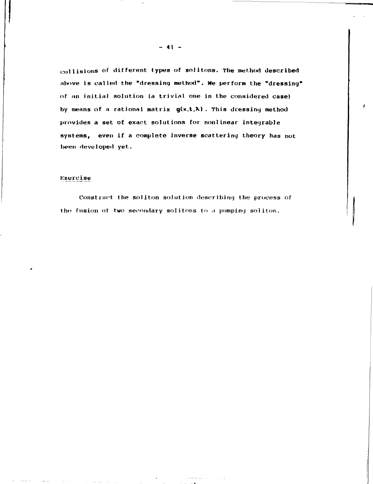collisions of different types of solitons. The method described above is called the "dressing method". We perform the "dressing" **of an initial solution (a trivial one in the considered case) by means of** *a* **rational matrix g(x,t,M . This dressing method provides a set of exact solutions for nonlinear inteyrable systems, even if a complete inverse scattering theory has not been developed yet.** 

## **lixu reise**

**Construct the soliton solution describing the process of**  the fusion of two secondary solitons to a pumping soliton.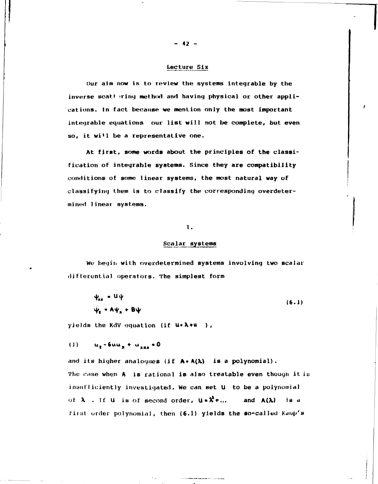## Lecture Six

Our aim now is to review the systems integrable by the inverse scattering method and having physical or other applications. In fact because we mention only the most important integrable equations our list will not be complete, but even so, it will be a representative one.

At first, some words about the principles of the classification of integrable systems. Since they are compatibility conditions of some linear systems, the most natural way of classifying them is to classify the corresponding overdetermined linear systems.

#### 1.

#### Scalar systems

We begin with overdetermined systems involving two scalar differential operators. The simplest form

| $\Psi_{\rm{RF}} = U \Psi$                     | (6.1) |
|-----------------------------------------------|-------|
| $\Psi_{\epsilon}$ = A $\Psi_{\mu}$ + B $\Psi$ |       |

yields the KdV equation (if  $u \cdot \lambda + u$ ),

 $u_t - 6uu_x + u_{xx} = 0$  $(1)$ 

and its higher analogues (if A.A(A) is a polynomial). The case when A is rational is also treatable even though it is insufficiently investigated. We can set U to be a polynomial of  $\lambda$  . If U is of second order,  $u \cdot \lambda^2 + ...$ and  $A(\lambda)$ is a first order polynomial, then (6.1) yields the so-called Kaup's

 $-42 -$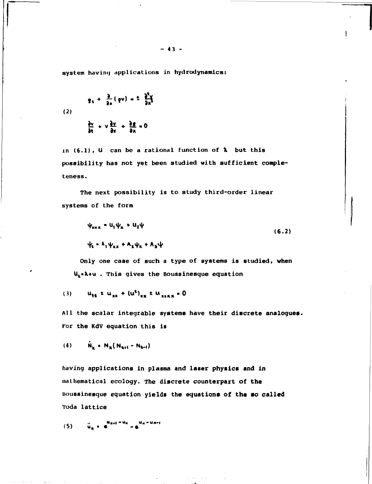system having applications in hydrodynamics:

(2)  
\n
$$
g_1 + \frac{3}{9x}(9^y) = \pm \frac{3^y}{9x^1}
$$
\n
$$
\frac{3^y}{9x} + \sqrt{\frac{3y}{9x}} + \frac{3^z}{9x} = 0
$$

in (6.1), U can be a rational function of  $\lambda$  but this possibility has not yet been studied with sufficient completeness.

The next possibility is to study third-order linear systems of the form

$$
\psi_{\text{max}} = U_{1} \psi_{\text{x}} + U_{2} \psi
$$
\n
$$
\psi_{\text{max}} = A_{1} \psi_{\text{max}} + A_{2} \psi_{\text{x}} + A_{3} \psi
$$
\n(6.2)

Only one case of such a type of systems is studied, when U<sub>1</sub>. A+u . This gives the Boussinesque equation

(3) 
$$
u_{tt} \pm u_{xx} + (u^2)_{xx} \pm u_{xxxx} = 0
$$

All the scalar integrable systems have their discrete analogues. For the KdV equation this is

$$
(4) \qquad \tilde{N}_k = N_k (N_{k+1} - N_{k-1})
$$

having applications in plasma and laser physics and in mathematical ecology. The discrete counterpart of the Boussinesque equation yields the equations of the so called Toda lattice

$$
(5) \qquad \ddot{u}_n = e^{u_{n+1} - u_n} - e^{u_n + u_{n+1}}
$$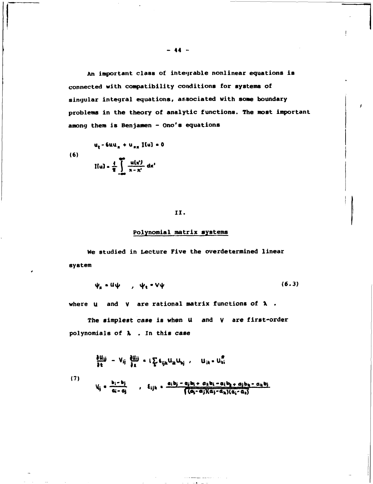An important class of integrable nonlinear equations is connected with compatibility conditions for systems of singular integral equations, associated with some boundary problems in the theory of analytic functions. The most important among them is Benjamen - Ono's equations

(6)  

$$
u_{t} - 6uu_{x} + u_{xx} \text{ I(u)} = 0
$$

$$
\text{I(u)} = \frac{4}{\pi} \int \frac{u(x)}{x - x'} dx'
$$

## 11.

## Polynomial matrix systems

We studied in Lecture Five the overdetermined linear system

$$
\psi_{\pi} = U \psi \qquad , \quad \psi_{\tau} = V \psi \qquad (6.3)
$$

where  $u$  and  $v$  are rational matrix functions of  $\lambda$ .

The simplest case is when U and V are first-order polynomials of  $\lambda$ . In this case

$$
\frac{\partial U_{ij}}{\partial t} = V_{ij} \frac{\partial U_{ij}}{\partial x} = i \sum_{ijk} \epsilon_{ijk} U_{ik} U_{kj} , \qquad U_{ik} = U_{ki}^{\mathcal{B}}
$$
  
(7)  

$$
V_{ij} = \frac{b_i - b_j}{a_i - a_j} , \qquad E_{ijk} = \frac{a_i b_j - a_j b_i + a_k b_i - a_i b_k + a_j b_k - a_k b_j}{\sqrt{(a_j - a_j)(a_j - a_k)(a_i - a_k)}}
$$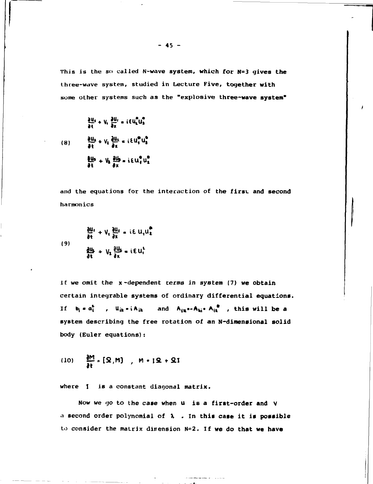This is the so called N-wave system, which for N=3 gives the three-wave system, studied in Lecture Five, together with some other systems such as the "explosive three-wave system"

$$
\frac{\partial u_i}{\partial t} + V_i \frac{\partial u_i}{\partial x} = i \epsilon u_i^2 u_3^2
$$
\n
$$
(8) \qquad \frac{\partial u_k}{\partial t} + V_k \frac{\partial u_k}{\partial x} = i \epsilon u_i^2 u_3^2
$$
\n
$$
\frac{\partial u_3}{\partial t} + V_k \frac{\partial u_3}{\partial x} = i \epsilon u_i^2 u_3^2
$$

and the equations for the interaction of the first and second harmonics

$$
\frac{\partial u}{\partial t} + V_1 \frac{\partial u}{\partial x} = i E u_1 u_2^2
$$
\n(9)\n
$$
\frac{\partial u_1}{\partial t} + V_2 \frac{\partial u_2}{\partial x} = i E u_1^2
$$

If we omit the x-dependent terms in system (7) we obtain certain integrable systems of ordinary differential equations. If  $b_i = a_i^b$ ,  $u_{ik} = i A_{ik}$  and  $A_{ik} = A_{ki} = A_{ik}^b$ , this will be a system describing the free rotation of an N-dimensional solid body (Euler equations):

(10) 
$$
\frac{\partial M}{\partial t} = [\Omega, M] , M = I \Omega + \Omega I
$$

where I is a constant diagonal matrix.

Now we go to the case when u is a first-order and V a second order polynomial of  $\lambda$  . In this case it is possible to consider the matrix dimension N=2. If we do that we have

$$
-45 -
$$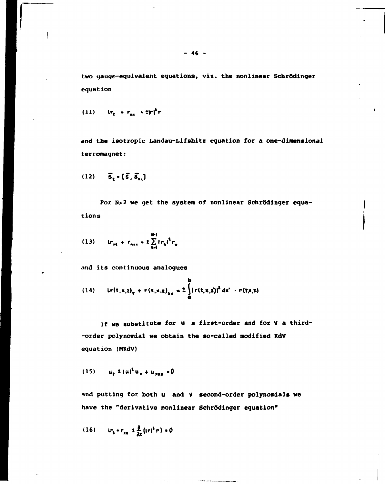two gauge-equivalent equations, viz. the nonlinear Schrödinger equation

(11) 
$$
ir_{\rm t} + r_{\rm m} = 2 \mathbf{r} i^{\rm t} \mathbf{r}
$$

 $\mathsf{l}$ 

and the isotropic Landau-Lifshitz equation for a one-dimensional ferromagnet:

 $\lambda$ 

$$
(12) \qquad \vec{S}_t \bullet [\vec{S}, \vec{S}_{xx}]
$$

For N>2 we get the system of nonlinear Schrödinger equations

(13) 
$$
i r_{m} + r_{n m} = \pm \sum_{k=1}^{m+1} |r_{k}|^{2} r_{n}
$$

and its continuous analoques

(14) 
$$
ir(t, x, z)_t + r(t, x, z)_{xx} = \frac{1}{4} \int_{0}^{b} [r(t, x, z)]^2 dz' + r(t, x, z)
$$

If we substitute for u a first-order and for V a third--order polynomial we obtain the so-called modified KdV equation (MKdV)

(15) 
$$
u_{\mu} \pm |u|^2 u_{\pi} + u_{\text{max}} = 0
$$

and putting for both u and V second-order polynomials we have the "derivative nonlinear Schrödinger equation"

$$
(16) \qquad \text{if } r_k + r_{xx} \leq \frac{\partial}{\partial x} \left( |r|^2 r \right) = 0
$$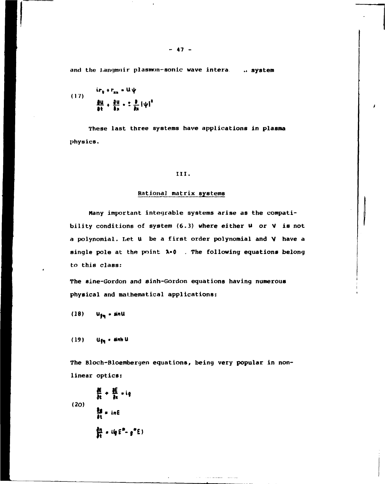and the Langmuir plasmon-sonic wave intera. .. system

(17) 
$$
\frac{ir_{t} + r_{xx} = U\psi}{\frac{\partial U}{\partial t} + \frac{\partial U}{\partial x} = \frac{1}{2} \frac{\partial}{\partial x} [\psi]^2}
$$

**These last three systems have applications in plasma physics.** 

#### **III.**

## **Rational matrix systems**

**Many important integrable systems arise as the compati**bility conditions of system (6.3) where either  $U$  or  $V$  is not **a polynomial. bet U be a first order polynomial and V have a single pole at the point X\*0 . The following equations belong to this class:** 

**The sine-Gordon and sinh-Gordon equations having numerous physical and mathematical applications:** 

 $(18)$  $u_{fn}$  - sinu

(19)  **• «nh U** 

**The Bloch-Bloembergen equations, being very popular in nonlinear optics:** 

$$
\frac{\partial \xi}{\partial t} + \frac{\partial \xi}{\partial x} - i g
$$
\n(20)\n
$$
\frac{\partial g}{\partial t} = in E
$$
\n
$$
\frac{\partial g}{\partial t} = i g E^2 - g^2 E
$$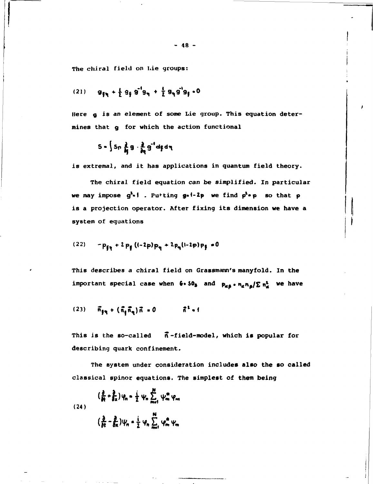**The chiral field on Lie groups:** 

(21) 
$$
g_{\frac{p}{2}} + \frac{1}{2} g_{\frac{1}{2}} g^{-1} g_{\eta} + \frac{1}{2} g_{\eta} g^{-1} g_{\frac{1}{2}} \cdot 0
$$

**Here** *g* **is an element of some Lie group. This equation determines that g for which the action functional** 

$$
S = \int S_{\Gamma} \frac{\partial}{\partial \xi} g \cdot \frac{\partial}{\partial \eta} g^{-1} df d\eta
$$

is extremal, and it has applications in quantum field theory.

The chiral field equation can be simplified. In particular we may impose  $g^2 \cdot i$ . Putting  $g \cdot i - 2p$  we find  $p^2 \cdot p$  so that  $p$ is a projection operator. After fixing its dimension we have a system of equations

$$
(22) - p_{\xi_0} + 2 p_{\xi} ((-2p) p_{\eta} + 2 p_{\eta} (1-2p) p_{\xi} = 0
$$

This describes a chiral field on Grassmann's manyfold. In the important special case when  $6 \cdot 50$ , and  $p_{\alpha\beta} \cdot n_{\alpha} n_{\beta} / \sum n_{\alpha}^{1}$  we have

(23) 
$$
\vec{n}_{11} + (\vec{n}_1 \vec{n}_1) \vec{n} = 0
$$
  $\vec{n}^2 + 1$ 

This is the so-called  $\vec{n}$ -field-model, which is popular for describing quark confinement.

The system under consideration includes **also** the **so** called classical spinor equations. The simplest of them being

$$
\left(\frac{\partial}{\partial t} + \frac{\partial}{\partial x}\right)\psi_n = \frac{i}{2}\psi_n \sum_{m=1}^M \psi_m^m \psi_m
$$
  
(24)  

$$
\left(\frac{\partial}{\partial t} - \frac{\partial}{\partial x}\right)\psi_n = \frac{i}{2}\psi_n \sum_{m=1}^M \psi_m^m \psi_m
$$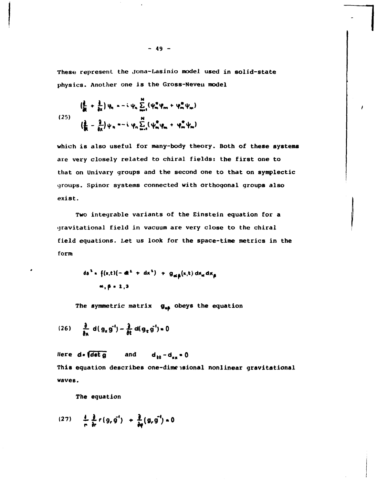These represent the Jona-Lasinio model used in solid-state physics. Another one is the Gross-Neveu model

$$
\left(\frac{2}{R} + \frac{1}{\theta x}\right)\psi_{n} = -i\psi_{n} \sum_{m=1}^{N} (\psi_{m}^{m}\psi_{m} + \psi_{m}^{m}\psi_{m})
$$
\n
$$
\left(\frac{2}{R} - \frac{2}{\theta x}\right)\psi_{n} = -i\psi_{n} \sum_{m=1}^{N} (\psi_{m}^{m}\psi_{m} + \psi_{m}^{m}\psi_{m})
$$

which is also useful for many-body theory. Both of these systems are very closely related to chiral fields: the first one to that on Univary groups and the second one to that on symplectic groups. Spinor systems connected with orthogonal groups also exist.

Two integrable variants of the Einstein equation for a gravitational field in vacuum are very close to the chiral field equations. Let us look for the space-time metrics in the form

$$
ds^{2} = \{ (x,t) (-dt^{2} + dx^{2}) + g_{\alpha\beta}(x,t) dx_{\alpha} dx_{\beta}
$$
  

$$
\alpha, \beta = 2,3
$$

The symmetric matrix  $g_{\alpha\beta}$  obeys the equation

(26) 
$$
\frac{\partial}{\partial x} d(g_x g^{-1}) - \frac{\partial}{\partial t} d(g_x g^{-1}) = 0
$$

Here  $d \cdot \sqrt{\det q}$ and  $d_{tt} - d_{xx} = 0$ This equation describes one-dimensional nonlinear gravitational waves.

The equation

$$
(27) \qquad \frac{4}{r} \frac{\partial}{\partial r} r(g, g') + \frac{\partial}{\partial y} (g, g'') = 0
$$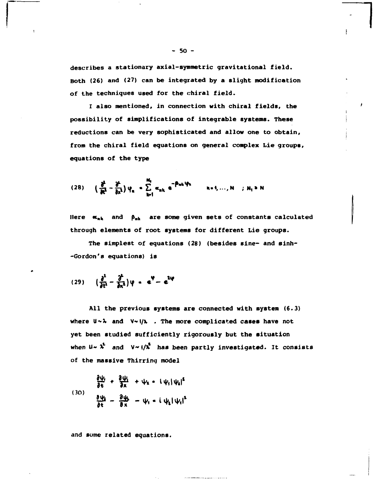describes a stationary axial-symmetric gravitational field. Both (26) and (27) can be integrated by a slight modification of the techniques used for the chiral field.

I also mentioned, in connection with chiral fields, the possibility of simplifications of integrable systems. These reductions can be very sophisticated and allow one to obtain, from the chiral field equations on general complex Lie groups, equations of the type

$$
(28) \qquad \left(\frac{\partial^2}{\partial t^2} - \frac{\partial^2}{\partial x^1}\right)\psi_n = \sum_{k=1}^{N_1} \alpha_{nk} e^{-\beta_{nk}\psi_k} \qquad n=1,\ldots,N \quad ; \ N_1 \ge N
$$

Here  $\alpha_{nk}$  and  $\beta_{nk}$  are some given sets of constants calculated through elements of root systems for different Lie groups.

The simplest of equations (28) (besides sine- and sinh--Gordon's equations) is

$$
(29) \qquad \left(\frac{\partial^2}{\partial t^1}-\frac{\partial^2}{\partial x^1}\right)\varphi = e^{\Psi}-e^{2\varphi}
$$

All the previous systems are connected with system (6.3) where  $U \sim \lambda$  and  $V \sim 1/\lambda$  . The more complicated cases have not yet been studied sufficiently rigorously but the situation when  $u \sim \lambda^2$  and  $v \sim 1/\lambda^2$  has been partly investigated. It consists of the massive Thirring model

$$
\frac{\partial \psi_i}{\partial t} + \frac{\partial \psi_i}{\partial x} + \psi_i \cdot (\psi_i |\psi_i|^2)
$$
\n(30)

and some related equations.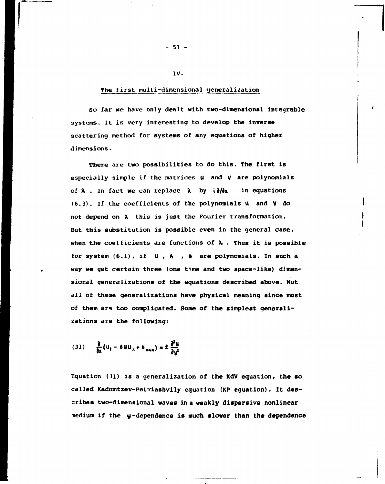## **The first multi-dimensional generalization**

**IV.** 

**So far we have only dealt with two-dimensional integrable systems. It is very interesting to develop the inverse scattering method for systems of any equations of higher dimensions.** 

**There are two possibilities to do this. The first is especially simple if the matrices U and V are polynomials**  of  $\lambda$  . In fact we can replace  $\lambda$  by i $\partial/\partial x$  in equations **(6.3). If the coefficients of the polynomials U and V do not depend on X this is just the Fourier transformation. But this substitution is possible even in the general case, when the coefficients are functions of** *X* **. Thus it is possible for system (6.1), if U , A , в are polynomials. In such a way we get certain three (one time and two space-like) dimensional generalizations of the equations described above. Not all of these generalizations have physical meaning since most of them are too complicated. Some of the simplest generalizations are the following:** 

(31) 
$$
\frac{\partial}{\partial x}(u_t - 6uu_x + u_{xxx}) = \pm \frac{\partial^2 u}{\partial y^2}
$$

**Equation (31) is a generalization of the KdV equation, the so called Kadomtzev-Petviashvily equation (KP equation). It describes two-dimensional waves in a weakly dispersive nonlinear medium if the у-dependence is much slower than the dependence** 

**- 51 -**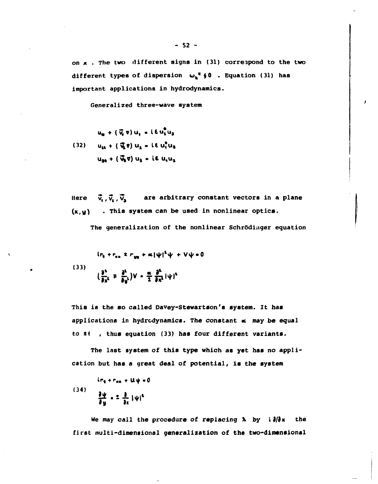on  $x$ . The two different signs in (31) correspond to the two different types of dispersion  $\omega_k$ <sup>\*</sup>  $\oint$  0 . Equation (31) has important applications in hydrodynamics.

Generalized three-wave system

$$
u_{R} + (\vec{v}_{1} \cdot v) u_{1} = i \epsilon u_{1}^{2} u_{2}
$$
  
(32) 
$$
u_{11} + (\vec{v}_{1} \cdot v) u_{1} = i \epsilon u_{1}^{2} u_{2}
$$

$$
u_{22} + (\vec{v}_{1} \cdot v) u_{1} = i \epsilon u_{1} u_{1}
$$

Here  $\vec{v}_1$ ,  $\vec{v}_2$ ,  $\vec{v}_3$  are arbitrary constant vectors in a plane  $(x, y)$  . This system can be used in nonlinear optics.

The generalization of the nonlinear Schrödinger equation

(33)  

$$
\left(\frac{\partial^2}{\partial x^i} + \frac{\partial^2}{\partial y^i}\right)V = \frac{\partial^2}{\partial y^i} |\psi|^2
$$

This is the so called Davey-Stewartson's system. It has applications in hydrodynamics. The constant « may be equal to  $\sharp$  ( , thus equation (33) has four different variants.

The last system of this type which as yet has no application but has a great deal of potential, is the system

$$
(34)
$$
\n
$$
\frac{\partial \psi}{\partial y} = \frac{\partial}{\partial x} |\psi|^2
$$

We may call the procedure of replacing  $\lambda$  by  $i \partial/\partial x$ the first multi-dimensional generalization of the two-dimensional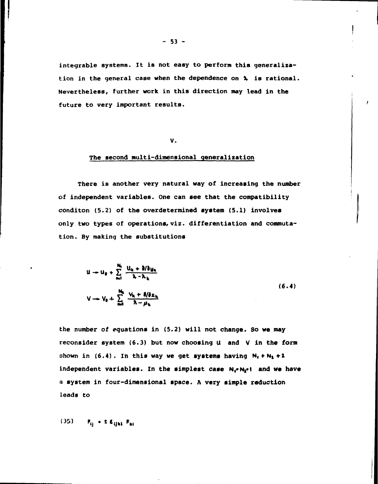**integrable systems. It is not easy to perform this generalization in the general case when the dependence on X is rational. Nevertheless, further work in this direction may lead in the future to very important results.** 

## **V.**

## **The second multi-dimensional generalization**

**There is another very natural way of increasing the number of independent variables. One can see that the compatibility conditon (5.2) of the overdetermined system (5.1) involves only two types of operations, viz. differentiation and commutation. By making the substitutions** 

$$
u - u_{\theta} + \sum_{m=1}^{N_0} \frac{u_{k} + \partial/\partial u_{k}}{\lambda - \lambda_{k}}
$$
  

$$
v - v_{\theta} + \sum_{m=1}^{N_0} \frac{v_{k} + \partial/\partial z_{k}}{\lambda - \mu_{k}}
$$
 (6.4)

**the number of equations in (5.2) will not change. So we may reconsider system (6.3) but now choosing U and V in the form**  shown in  $(6.4)$ . In this way we get systems having  $N_1 + N_2 + 2$ independent variables. In the simplest case N<sub>i</sub>-N<sub>i</sub>++ and we have **a system in four-dimensional space. A very simple reduction leads to** 

**<**  $\mathbf{F}_{ij} = \mathbf{1} \mathbf{E}_{ijkl} \mathbf{F}_{kl}$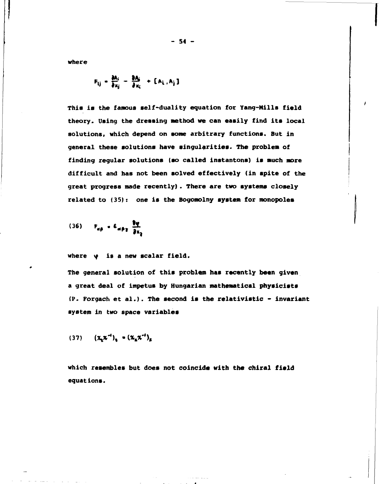**where** 

$$
F_{ij} = \frac{\partial A_i}{\partial x_i} = \frac{\partial A_i}{\partial x_i} + [A_i, A_j]
$$

**This is the famous self-duality equation for Yang-Mills field theory. Using the dressing method we can easily find its local solutions, which depend on some arbitrary functions. But in general these solutions have singularities. The problem of finding regular solutions (so called instantons) is much more difficult and has not been solved effectively (in spite of the great progress made recently). There are two systems closely related to (35): one is the Bogomolny system for monopoles** 

$$
(36) \qquad F_{\alpha\beta} = E_{\alpha\beta\gamma} \frac{\partial \phi}{\partial x_3}
$$

where  $\psi$  is a new scalar field.

**The general solution of this problem has recently been given a great deal of impetus by Hungarian mathematical physicists (P. Forgach et al.). The second is the relativistic - invariant system in two space variables** 

$$
(37) \qquad \left(\chi_{\mathbf{t}}\chi^{-1}\right)_{\mathbf{t}} = \left(\chi_{\mathbf{t}}\chi^{-1}\right)_{\mathbf{t}}
$$

**which resembles but does not coincide with the chiral field equations.** 

**- 54 -**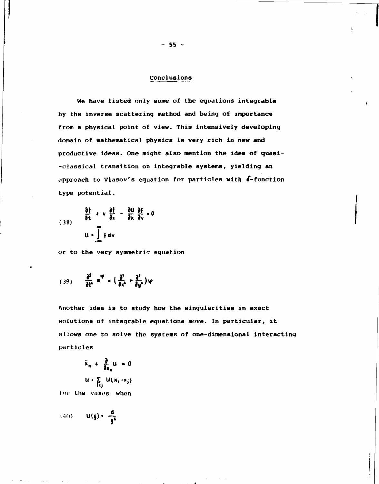#### Conclusions

We have listed only some of the equations integrable by the inverse scattering method and being of importance from a physical point of view. This intensively developing domain of mathematical physics is very rich in new and productive ideas. One might also mention the idea of quasi--classical transition on integrable systems, yielding an approach to Vlasov's equation for particles with 6-function type potential.

(38) 
$$
\frac{\partial f}{\partial t} + v \frac{\partial f}{\partial x} - \frac{\partial u}{\partial x} \frac{\partial f}{\partial v} = 0
$$
  
u =  $\int f dv$ 

or to the very symmetric equation

$$
(39) \qquad \frac{\partial^2}{\partial t^1} e^{\Psi} = \left(\frac{\partial^1}{\partial x^1} + \frac{\partial^1}{\partial y^1}\right)\varphi
$$

Another idea is to study how the singularities in exact solutions of integrable equations move. In particular, it allows one to solve the systems of one-dimensional interacting particles

$$
\ddot{x}_n + \frac{\partial}{\partial x_n} u = 0
$$
  

$$
u \cdot \sum_{i \in j} u(x_i - x_j)
$$

for the cases when

$$
(40) \qquad U(\xi) = \frac{d}{\xi^2}
$$

 $-55 -$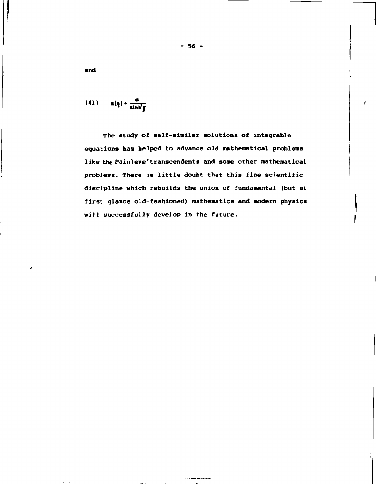$$
(41) \qquad u(\xi) \cdot \frac{a}{\sinh^2 \xi}
$$

The study of self-similar solutions of integrable equations has helped to advance old mathematical problems like the Painleve' transcendents and some other mathematical problems. There is little doubt that this fine scientific discipline which rebuilds the union of fundamental (but at first glance old-fashioned) mathematics and modern physics will successfully develop in the future.

and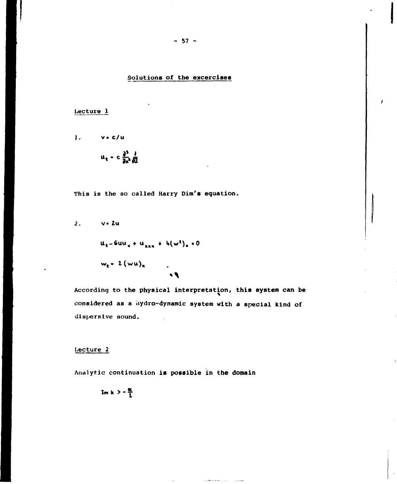# Solutions of the excercises

Lecture 1

1. 
$$
\sqrt{6}/u
$$
  
 $u_t = c \frac{\partial^2}{\partial x^2} \frac{1}{\sqrt{u}}$ 

This is the so called Harry Dim's equation.

2. 
$$
v \cdot 2u
$$
  
\n $u_t - 6uu_x + u_{xxx} + 4(w^2)_x = 0$   
\n $w_t - 2 (wu)_x$ 

 $\sqrt{2}$ 

According to the physical interpretation, this system can be considered as a hydro-dynamic system with a special kind of dispersive sound.

a see male provincial

وسيدان

## Lecture<sub>2</sub>

Analytic continuation is possible in the domain

$$
Im k > -\frac{\alpha}{2}
$$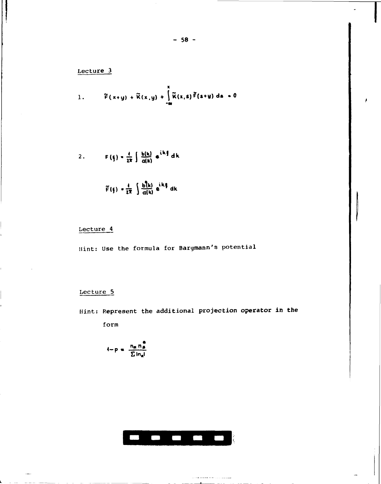1. 
$$
\widetilde{F}(x+y) + \widetilde{K}(x,y) + \int_{-\infty}^{x} \widetilde{K}(x,s) \widetilde{F}(s+y) ds = 0
$$

2. 
$$
F(\xi) = \frac{1}{2\pi} \int \frac{b(k)}{a(k)} e^{ik\xi} dk
$$

$$
\widetilde{F}(\xi) = \frac{4}{2\pi} \int \frac{b\overline{d}k}{a(k)} e^{ik\xi} dk
$$

# Lecture 4

Hint: Use the formula for Bargmann's potential

# Lecture 5

Ē.

 $\frac{1}{2}$ 

 $\sim$ 

Hint: Represent the additional projection operator in the

form

$$
4-p = \frac{n_{\alpha}n_{\beta}^{\alpha}}{\sum in_{\alpha}I}
$$



a comunicación de la construcción  $\blacksquare$